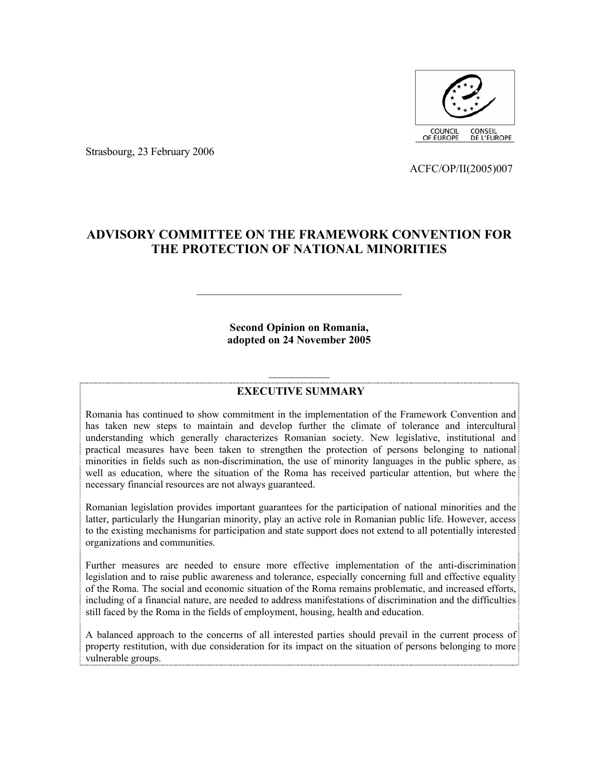

Strasbourg, 23 February 2006

ACFC/OP/II(2005)007

# **ADVISORY COMMITTEE ON THE FRAMEWORK CONVENTION FOR THE PROTECTION OF NATIONAL MINORITIES**

**Second Opinion on Romania, adopted on 24 November 2005** 

# $\mathcal{L}_\text{max}$ **EXECUTIVE SUMMARY**

Romania has continued to show commitment in the implementation of the Framework Convention and has taken new steps to maintain and develop further the climate of tolerance and intercultural understanding which generally characterizes Romanian society. New legislative, institutional and practical measures have been taken to strengthen the protection of persons belonging to national minorities in fields such as non-discrimination, the use of minority languages in the public sphere, as well as education, where the situation of the Roma has received particular attention, but where the necessary financial resources are not always guaranteed.

Romanian legislation provides important guarantees for the participation of national minorities and the latter, particularly the Hungarian minority, play an active role in Romanian public life. However, access to the existing mechanisms for participation and state support does not extend to all potentially interested organizations and communities.

Further measures are needed to ensure more effective implementation of the anti-discrimination legislation and to raise public awareness and tolerance, especially concerning full and effective equality of the Roma. The social and economic situation of the Roma remains problematic, and increased efforts, including of a financial nature, are needed to address manifestations of discrimination and the difficulties still faced by the Roma in the fields of employment, housing, health and education.

A balanced approach to the concerns of all interested parties should prevail in the current process of property restitution, with due consideration for its impact on the situation of persons belonging to more vulnerable groups.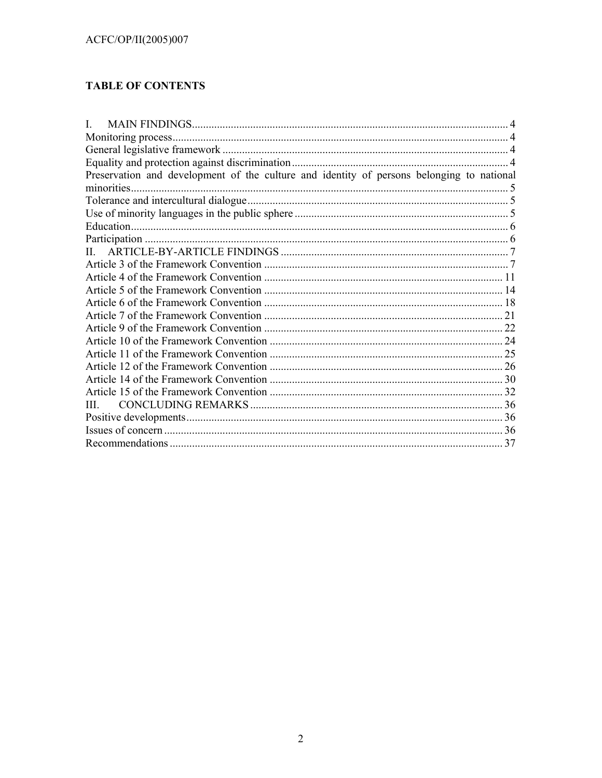# **TABLE OF CONTENTS**

| L                                                                                         |    |
|-------------------------------------------------------------------------------------------|----|
|                                                                                           |    |
|                                                                                           |    |
|                                                                                           |    |
| Preservation and development of the culture and identity of persons belonging to national |    |
| minorities.                                                                               |    |
|                                                                                           |    |
|                                                                                           |    |
|                                                                                           |    |
|                                                                                           |    |
| Н.                                                                                        |    |
|                                                                                           |    |
|                                                                                           |    |
|                                                                                           |    |
|                                                                                           |    |
|                                                                                           |    |
|                                                                                           |    |
|                                                                                           |    |
|                                                                                           |    |
|                                                                                           |    |
|                                                                                           |    |
|                                                                                           |    |
| Ш                                                                                         |    |
|                                                                                           |    |
|                                                                                           |    |
|                                                                                           | 37 |
|                                                                                           |    |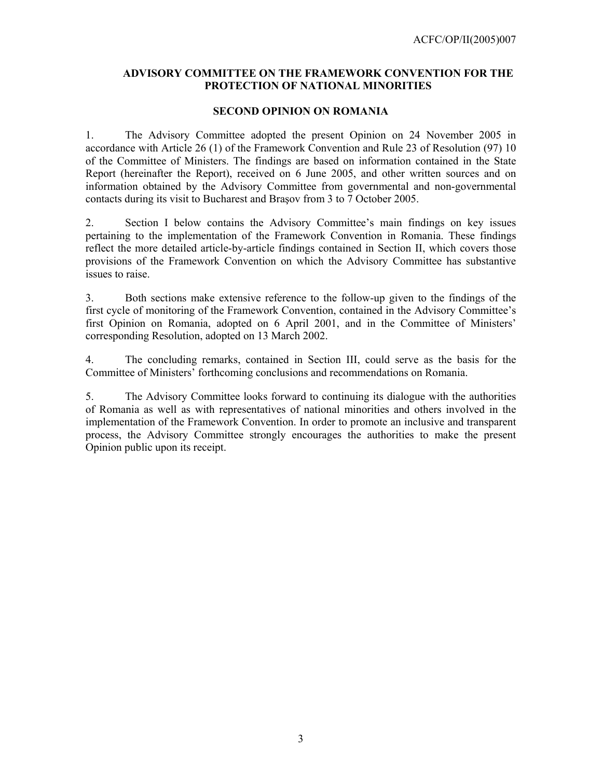# **ADVISORY COMMITTEE ON THE FRAMEWORK CONVENTION FOR THE PROTECTION OF NATIONAL MINORITIES**

### **SECOND OPINION ON ROMANIA**

1. The Advisory Committee adopted the present Opinion on 24 November 2005 in accordance with Article 26 (1) of the Framework Convention and Rule 23 of Resolution (97) 10 of the Committee of Ministers. The findings are based on information contained in the State Report (hereinafter the Report), received on 6 June 2005, and other written sources and on information obtained by the Advisory Committee from governmental and non-governmental contacts during its visit to Bucharest and Braşov from 3 to 7 October 2005.

2. Section I below contains the Advisory Committee's main findings on key issues pertaining to the implementation of the Framework Convention in Romania. These findings reflect the more detailed article-by-article findings contained in Section II, which covers those provisions of the Framework Convention on which the Advisory Committee has substantive issues to raise.

3. Both sections make extensive reference to the follow-up given to the findings of the first cycle of monitoring of the Framework Convention, contained in the Advisory Committee's first Opinion on Romania, adopted on 6 April 2001, and in the Committee of Ministers' corresponding Resolution, adopted on 13 March 2002.

4. The concluding remarks, contained in Section III, could serve as the basis for the Committee of Ministers' forthcoming conclusions and recommendations on Romania.

5. The Advisory Committee looks forward to continuing its dialogue with the authorities of Romania as well as with representatives of national minorities and others involved in the implementation of the Framework Convention. In order to promote an inclusive and transparent process, the Advisory Committee strongly encourages the authorities to make the present Opinion public upon its receipt.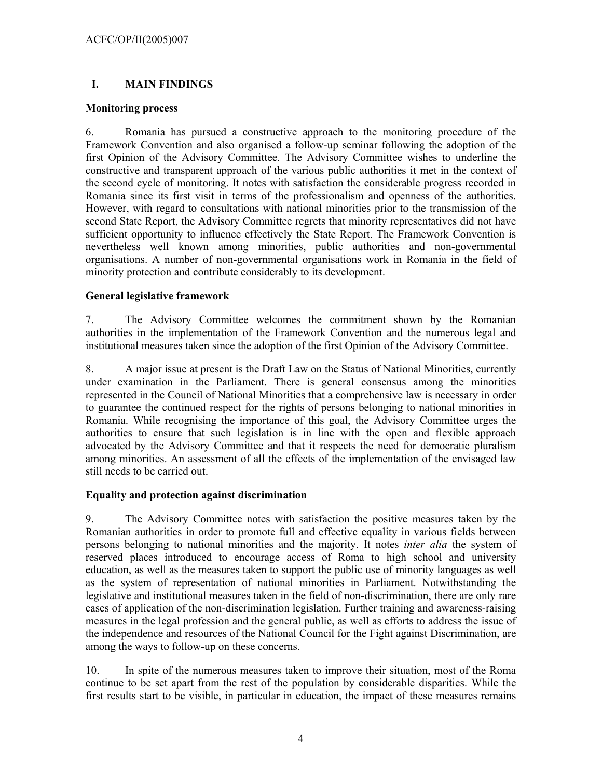# **I. MAIN FINDINGS**

### **Monitoring process**

6. Romania has pursued a constructive approach to the monitoring procedure of the Framework Convention and also organised a follow-up seminar following the adoption of the first Opinion of the Advisory Committee. The Advisory Committee wishes to underline the constructive and transparent approach of the various public authorities it met in the context of the second cycle of monitoring. It notes with satisfaction the considerable progress recorded in Romania since its first visit in terms of the professionalism and openness of the authorities. However, with regard to consultations with national minorities prior to the transmission of the second State Report, the Advisory Committee regrets that minority representatives did not have sufficient opportunity to influence effectively the State Report. The Framework Convention is nevertheless well known among minorities, public authorities and non-governmental organisations. A number of non-governmental organisations work in Romania in the field of minority protection and contribute considerably to its development.

# **General legislative framework**

7. The Advisory Committee welcomes the commitment shown by the Romanian authorities in the implementation of the Framework Convention and the numerous legal and institutional measures taken since the adoption of the first Opinion of the Advisory Committee.

8. A major issue at present is the Draft Law on the Status of National Minorities, currently under examination in the Parliament. There is general consensus among the minorities represented in the Council of National Minorities that a comprehensive law is necessary in order to guarantee the continued respect for the rights of persons belonging to national minorities in Romania. While recognising the importance of this goal, the Advisory Committee urges the authorities to ensure that such legislation is in line with the open and flexible approach advocated by the Advisory Committee and that it respects the need for democratic pluralism among minorities. An assessment of all the effects of the implementation of the envisaged law still needs to be carried out.

# **Equality and protection against discrimination**

9. The Advisory Committee notes with satisfaction the positive measures taken by the Romanian authorities in order to promote full and effective equality in various fields between persons belonging to national minorities and the majority. It notes *inter alia* the system of reserved places introduced to encourage access of Roma to high school and university education, as well as the measures taken to support the public use of minority languages as well as the system of representation of national minorities in Parliament. Notwithstanding the legislative and institutional measures taken in the field of non-discrimination, there are only rare cases of application of the non-discrimination legislation. Further training and awareness-raising measures in the legal profession and the general public, as well as efforts to address the issue of the independence and resources of the National Council for the Fight against Discrimination, are among the ways to follow-up on these concerns.

10. In spite of the numerous measures taken to improve their situation, most of the Roma continue to be set apart from the rest of the population by considerable disparities. While the first results start to be visible, in particular in education, the impact of these measures remains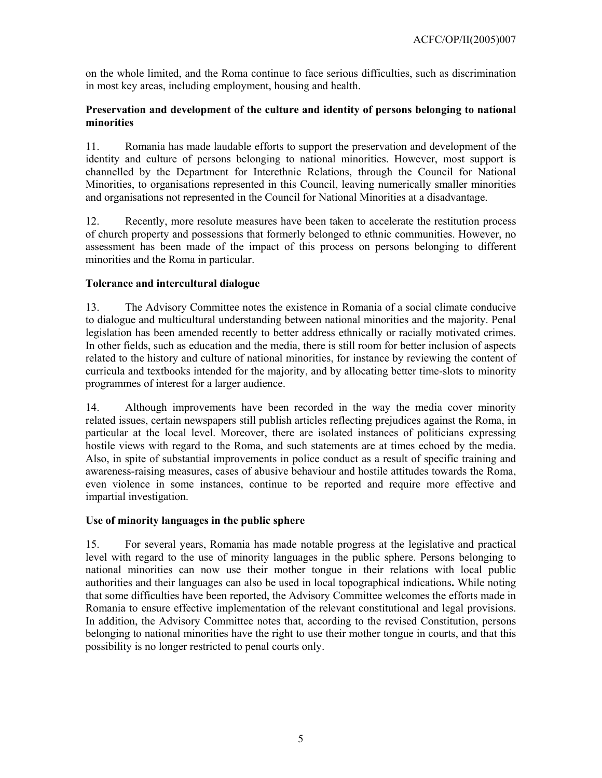on the whole limited, and the Roma continue to face serious difficulties, such as discrimination in most key areas, including employment, housing and health.

# **Preservation and development of the culture and identity of persons belonging to national minorities**

11. Romania has made laudable efforts to support the preservation and development of the identity and culture of persons belonging to national minorities. However, most support is channelled by the Department for Interethnic Relations, through the Council for National Minorities, to organisations represented in this Council, leaving numerically smaller minorities and organisations not represented in the Council for National Minorities at a disadvantage.

12. Recently, more resolute measures have been taken to accelerate the restitution process of church property and possessions that formerly belonged to ethnic communities. However, no assessment has been made of the impact of this process on persons belonging to different minorities and the Roma in particular.

# **Tolerance and intercultural dialogue**

13. The Advisory Committee notes the existence in Romania of a social climate conducive to dialogue and multicultural understanding between national minorities and the majority. Penal legislation has been amended recently to better address ethnically or racially motivated crimes. In other fields, such as education and the media, there is still room for better inclusion of aspects related to the history and culture of national minorities, for instance by reviewing the content of curricula and textbooks intended for the majority, and by allocating better time-slots to minority programmes of interest for a larger audience.

14. Although improvements have been recorded in the way the media cover minority related issues, certain newspapers still publish articles reflecting prejudices against the Roma, in particular at the local level. Moreover, there are isolated instances of politicians expressing hostile views with regard to the Roma, and such statements are at times echoed by the media. Also, in spite of substantial improvements in police conduct as a result of specific training and awareness-raising measures, cases of abusive behaviour and hostile attitudes towards the Roma, even violence in some instances, continue to be reported and require more effective and impartial investigation.

# **Use of minority languages in the public sphere**

15. For several years, Romania has made notable progress at the legislative and practical level with regard to the use of minority languages in the public sphere. Persons belonging to national minorities can now use their mother tongue in their relations with local public authorities and their languages can also be used in local topographical indications**.** While noting that some difficulties have been reported, the Advisory Committee welcomes the efforts made in Romania to ensure effective implementation of the relevant constitutional and legal provisions. In addition, the Advisory Committee notes that, according to the revised Constitution, persons belonging to national minorities have the right to use their mother tongue in courts, and that this possibility is no longer restricted to penal courts only.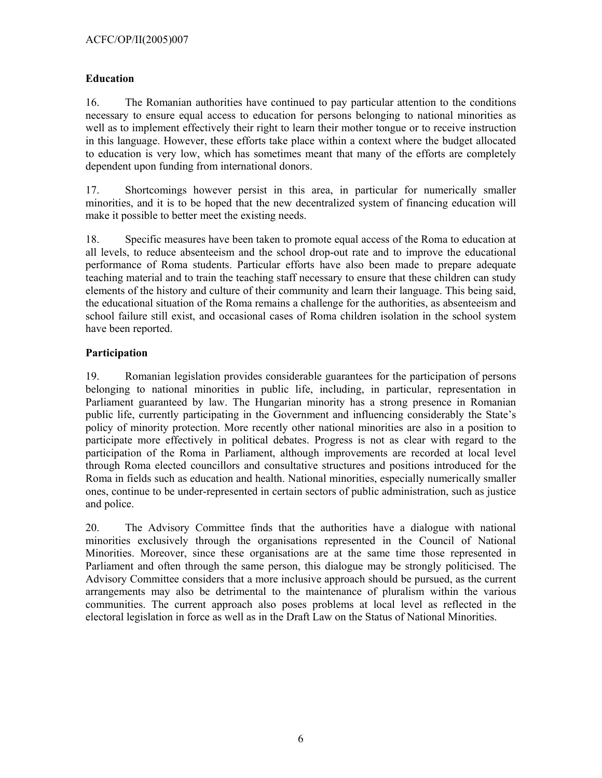# **Education**

16. The Romanian authorities have continued to pay particular attention to the conditions necessary to ensure equal access to education for persons belonging to national minorities as well as to implement effectively their right to learn their mother tongue or to receive instruction in this language. However, these efforts take place within a context where the budget allocated to education is very low, which has sometimes meant that many of the efforts are completely dependent upon funding from international donors.

17. Shortcomings however persist in this area, in particular for numerically smaller minorities, and it is to be hoped that the new decentralized system of financing education will make it possible to better meet the existing needs.

18. Specific measures have been taken to promote equal access of the Roma to education at all levels, to reduce absenteeism and the school drop-out rate and to improve the educational performance of Roma students. Particular efforts have also been made to prepare adequate teaching material and to train the teaching staff necessary to ensure that these children can study elements of the history and culture of their community and learn their language. This being said, the educational situation of the Roma remains a challenge for the authorities, as absenteeism and school failure still exist, and occasional cases of Roma children isolation in the school system have been reported.

# **Participation**

19. Romanian legislation provides considerable guarantees for the participation of persons belonging to national minorities in public life, including, in particular, representation in Parliament guaranteed by law. The Hungarian minority has a strong presence in Romanian public life, currently participating in the Government and influencing considerably the State's policy of minority protection. More recently other national minorities are also in a position to participate more effectively in political debates. Progress is not as clear with regard to the participation of the Roma in Parliament, although improvements are recorded at local level through Roma elected councillors and consultative structures and positions introduced for the Roma in fields such as education and health. National minorities, especially numerically smaller ones, continue to be under-represented in certain sectors of public administration, such as justice and police.

20. The Advisory Committee finds that the authorities have a dialogue with national minorities exclusively through the organisations represented in the Council of National Minorities. Moreover, since these organisations are at the same time those represented in Parliament and often through the same person, this dialogue may be strongly politicised. The Advisory Committee considers that a more inclusive approach should be pursued, as the current arrangements may also be detrimental to the maintenance of pluralism within the various communities. The current approach also poses problems at local level as reflected in the electoral legislation in force as well as in the Draft Law on the Status of National Minorities.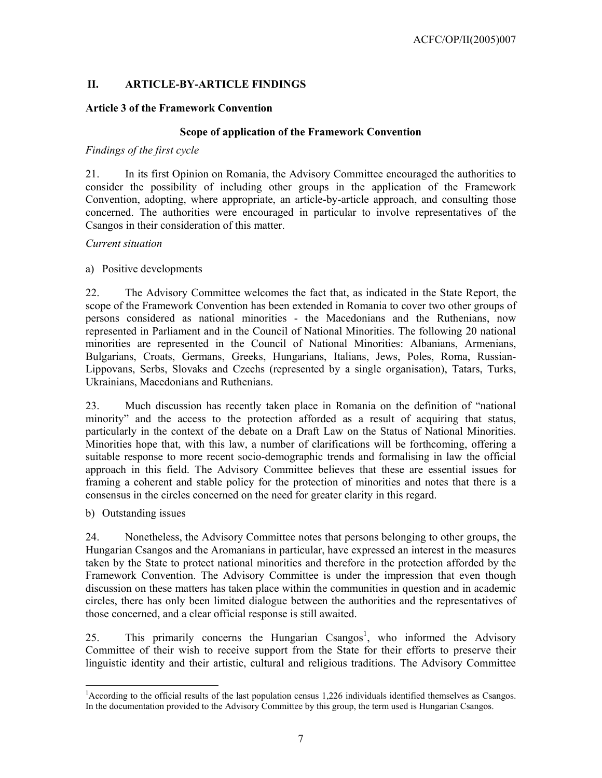# **II. ARTICLE-BY-ARTICLE FINDINGS**

# **Article 3 of the Framework Convention**

#### **Scope of application of the Framework Convention**

### *Findings of the first cycle*

21. In its first Opinion on Romania, the Advisory Committee encouraged the authorities to consider the possibility of including other groups in the application of the Framework Convention, adopting, where appropriate, an article-by-article approach, and consulting those concerned. The authorities were encouraged in particular to involve representatives of the Csangos in their consideration of this matter.

#### *Current situation*

### a) Positive developments

22. The Advisory Committee welcomes the fact that, as indicated in the State Report, the scope of the Framework Convention has been extended in Romania to cover two other groups of persons considered as national minorities - the Macedonians and the Ruthenians, now represented in Parliament and in the Council of National Minorities. The following 20 national minorities are represented in the Council of National Minorities: Albanians, Armenians, Bulgarians, Croats, Germans, Greeks, Hungarians, Italians, Jews, Poles, Roma, Russian-Lippovans, Serbs, Slovaks and Czechs (represented by a single organisation), Tatars, Turks, Ukrainians, Macedonians and Ruthenians.

23. Much discussion has recently taken place in Romania on the definition of "national minority" and the access to the protection afforded as a result of acquiring that status, particularly in the context of the debate on a Draft Law on the Status of National Minorities. Minorities hope that, with this law, a number of clarifications will be forthcoming, offering a suitable response to more recent socio-demographic trends and formalising in law the official approach in this field. The Advisory Committee believes that these are essential issues for framing a coherent and stable policy for the protection of minorities and notes that there is a consensus in the circles concerned on the need for greater clarity in this regard.

b) Outstanding issues

 $\overline{a}$ 

24. Nonetheless, the Advisory Committee notes that persons belonging to other groups, the Hungarian Csangos and the Aromanians in particular, have expressed an interest in the measures taken by the State to protect national minorities and therefore in the protection afforded by the Framework Convention. The Advisory Committee is under the impression that even though discussion on these matters has taken place within the communities in question and in academic circles, there has only been limited dialogue between the authorities and the representatives of those concerned, and a clear official response is still awaited.

25. This primarily concerns the Hungarian Csangos<sup>1</sup>, who informed the Advisory Committee of their wish to receive support from the State for their efforts to preserve their linguistic identity and their artistic, cultural and religious traditions. The Advisory Committee

<sup>&</sup>lt;sup>1</sup>According to the official results of the last population census 1,226 individuals identified themselves as Csangos. In the documentation provided to the Advisory Committee by this group, the term used is Hungarian Csangos.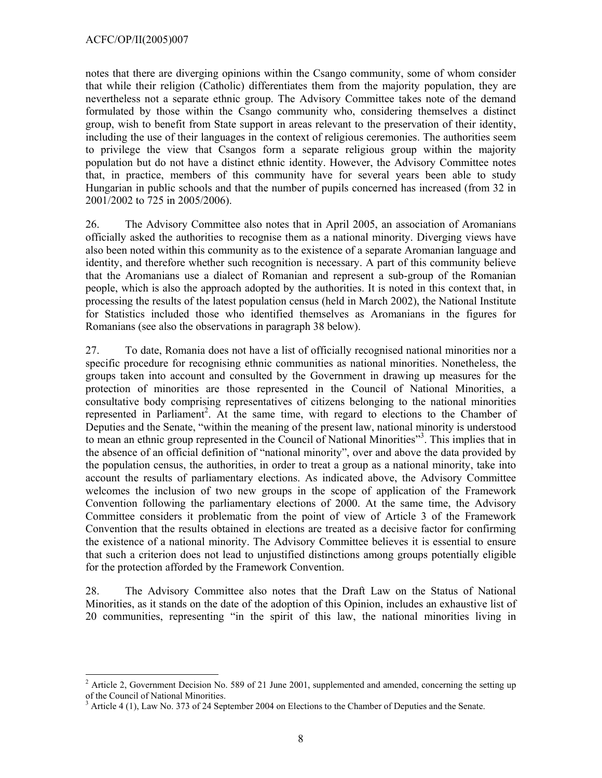$\overline{a}$ 

notes that there are diverging opinions within the Csango community, some of whom consider that while their religion (Catholic) differentiates them from the majority population, they are nevertheless not a separate ethnic group. The Advisory Committee takes note of the demand formulated by those within the Csango community who, considering themselves a distinct group, wish to benefit from State support in areas relevant to the preservation of their identity, including the use of their languages in the context of religious ceremonies. The authorities seem to privilege the view that Csangos form a separate religious group within the majority population but do not have a distinct ethnic identity. However, the Advisory Committee notes that, in practice, members of this community have for several years been able to study Hungarian in public schools and that the number of pupils concerned has increased (from 32 in 2001/2002 to 725 in 2005/2006).

26. The Advisory Committee also notes that in April 2005, an association of Aromanians officially asked the authorities to recognise them as a national minority. Diverging views have also been noted within this community as to the existence of a separate Aromanian language and identity, and therefore whether such recognition is necessary. A part of this community believe that the Aromanians use a dialect of Romanian and represent a sub-group of the Romanian people, which is also the approach adopted by the authorities. It is noted in this context that, in processing the results of the latest population census (held in March 2002), the National Institute for Statistics included those who identified themselves as Aromanians in the figures for Romanians (see also the observations in paragraph 38 below).

27. To date, Romania does not have a list of officially recognised national minorities nor a specific procedure for recognising ethnic communities as national minorities. Nonetheless, the groups taken into account and consulted by the Government in drawing up measures for the protection of minorities are those represented in the Council of National Minorities, a consultative body comprising representatives of citizens belonging to the national minorities represented in Parliament<sup>2</sup>. At the same time, with regard to elections to the Chamber of Deputies and the Senate, "within the meaning of the present law, national minority is understood to mean an ethnic group represented in the Council of National Minorities"<sup>3</sup>. This implies that in the absence of an official definition of "national minority", over and above the data provided by the population census, the authorities, in order to treat a group as a national minority, take into account the results of parliamentary elections. As indicated above, the Advisory Committee welcomes the inclusion of two new groups in the scope of application of the Framework Convention following the parliamentary elections of 2000. At the same time, the Advisory Committee considers it problematic from the point of view of Article 3 of the Framework Convention that the results obtained in elections are treated as a decisive factor for confirming the existence of a national minority. The Advisory Committee believes it is essential to ensure that such a criterion does not lead to unjustified distinctions among groups potentially eligible for the protection afforded by the Framework Convention.

28. The Advisory Committee also notes that the Draft Law on the Status of National Minorities, as it stands on the date of the adoption of this Opinion, includes an exhaustive list of 20 communities, representing "in the spirit of this law, the national minorities living in

 $2^2$  Article 2, Government Decision No. 589 of 21 June 2001, supplemented and amended, concerning the setting up of the Council of National Minorities.

<sup>3</sup> Article 4 (1), Law No. 373 of 24 September 2004 on Elections to the Chamber of Deputies and the Senate.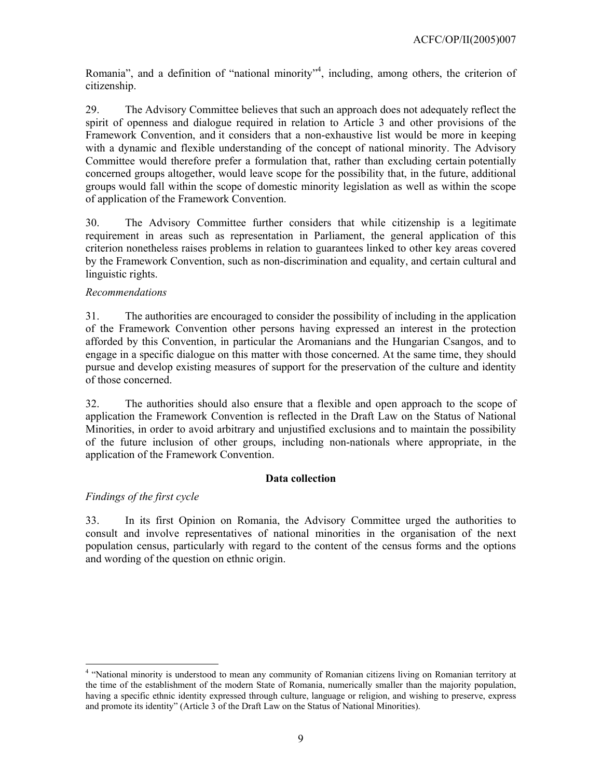Romania", and a definition of "national minority"<sup>4</sup>, including, among others, the criterion of citizenship.

29. The Advisory Committee believes that such an approach does not adequately reflect the spirit of openness and dialogue required in relation to Article 3 and other provisions of the Framework Convention, and it considers that a non-exhaustive list would be more in keeping with a dynamic and flexible understanding of the concept of national minority. The Advisory Committee would therefore prefer a formulation that, rather than excluding certain potentially concerned groups altogether, would leave scope for the possibility that, in the future, additional groups would fall within the scope of domestic minority legislation as well as within the scope of application of the Framework Convention.

30. The Advisory Committee further considers that while citizenship is a legitimate requirement in areas such as representation in Parliament, the general application of this criterion nonetheless raises problems in relation to guarantees linked to other key areas covered by the Framework Convention, such as non-discrimination and equality, and certain cultural and linguistic rights.

# *Recommendations*

31. The authorities are encouraged to consider the possibility of including in the application of the Framework Convention other persons having expressed an interest in the protection afforded by this Convention, in particular the Aromanians and the Hungarian Csangos, and to engage in a specific dialogue on this matter with those concerned. At the same time, they should pursue and develop existing measures of support for the preservation of the culture and identity of those concerned.

32. The authorities should also ensure that a flexible and open approach to the scope of application the Framework Convention is reflected in the Draft Law on the Status of National Minorities, in order to avoid arbitrary and unjustified exclusions and to maintain the possibility of the future inclusion of other groups, including non-nationals where appropriate, in the application of the Framework Convention.

# **Data collection**

# *Findings of the first cycle*

l

33. In its first Opinion on Romania, the Advisory Committee urged the authorities to consult and involve representatives of national minorities in the organisation of the next population census, particularly with regard to the content of the census forms and the options and wording of the question on ethnic origin.

<sup>&</sup>lt;sup>4</sup> "National minority is understood to mean any community of Romanian citizens living on Romanian territory at the time of the establishment of the modern State of Romania, numerically smaller than the majority population, having a specific ethnic identity expressed through culture, language or religion, and wishing to preserve, express and promote its identity" (Article 3 of the Draft Law on the Status of National Minorities).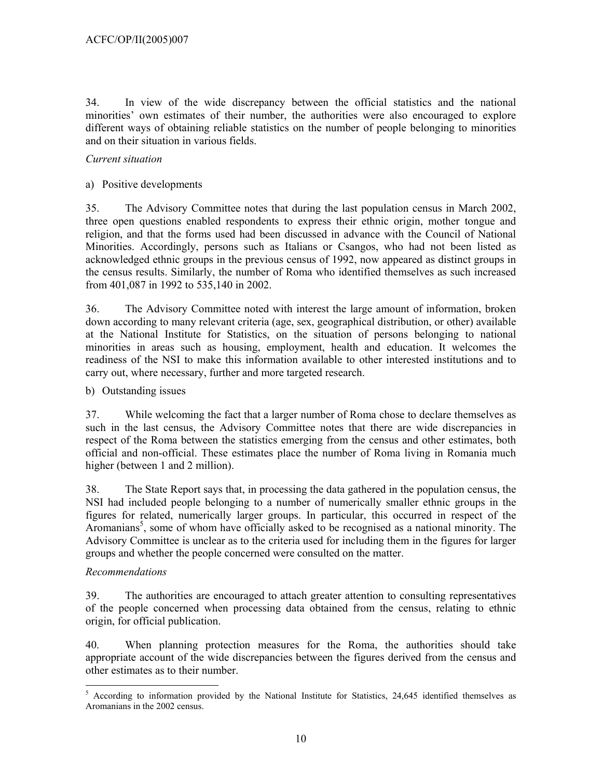34. In view of the wide discrepancy between the official statistics and the national minorities' own estimates of their number, the authorities were also encouraged to explore different ways of obtaining reliable statistics on the number of people belonging to minorities and on their situation in various fields.

# *Current situation*

# a) Positive developments

35. The Advisory Committee notes that during the last population census in March 2002, three open questions enabled respondents to express their ethnic origin, mother tongue and religion, and that the forms used had been discussed in advance with the Council of National Minorities. Accordingly, persons such as Italians or Csangos, who had not been listed as acknowledged ethnic groups in the previous census of 1992, now appeared as distinct groups in the census results. Similarly, the number of Roma who identified themselves as such increased from 401,087 in 1992 to 535,140 in 2002.

36. The Advisory Committee noted with interest the large amount of information, broken down according to many relevant criteria (age, sex, geographical distribution, or other) available at the National Institute for Statistics, on the situation of persons belonging to national minorities in areas such as housing, employment, health and education. It welcomes the readiness of the NSI to make this information available to other interested institutions and to carry out, where necessary, further and more targeted research.

# b) Outstanding issues

37. While welcoming the fact that a larger number of Roma chose to declare themselves as such in the last census, the Advisory Committee notes that there are wide discrepancies in respect of the Roma between the statistics emerging from the census and other estimates, both official and non-official. These estimates place the number of Roma living in Romania much higher (between 1 and 2 million).

38. The State Report says that, in processing the data gathered in the population census, the NSI had included people belonging to a number of numerically smaller ethnic groups in the figures for related, numerically larger groups. In particular, this occurred in respect of the Aromanians<sup>5</sup>, some of whom have officially asked to be recognised as a national minority. The Advisory Committee is unclear as to the criteria used for including them in the figures for larger groups and whether the people concerned were consulted on the matter.

# *Recommendations*

39. The authorities are encouraged to attach greater attention to consulting representatives of the people concerned when processing data obtained from the census, relating to ethnic origin, for official publication.

40. When planning protection measures for the Roma, the authorities should take appropriate account of the wide discrepancies between the figures derived from the census and other estimates as to their number.

<sup>&</sup>lt;sup>5</sup> According to information provided by the National Institute for Statistics, 24,645 identified themselves as Aromanians in the 2002 census.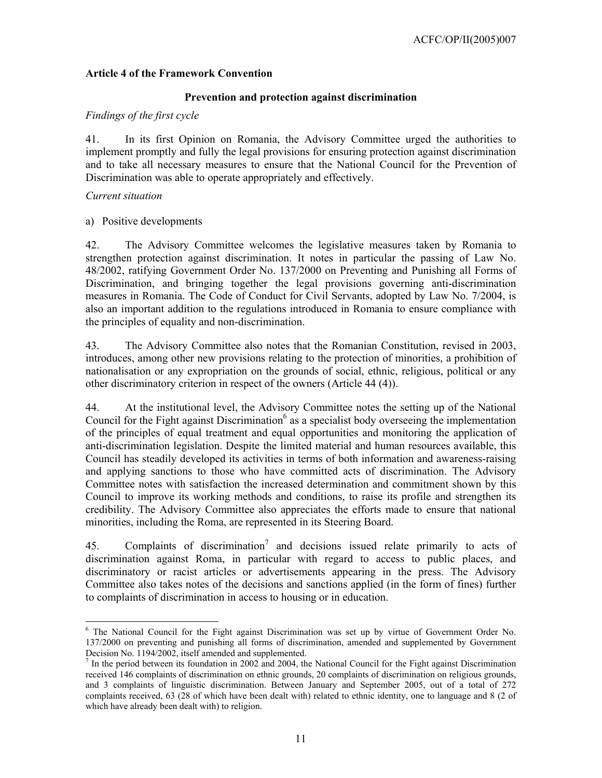### **Article 4 of the Framework Convention**

#### **Prevention and protection against discrimination**

#### *Findings of the first cycle*

41. In its first Opinion on Romania, the Advisory Committee urged the authorities to implement promptly and fully the legal provisions for ensuring protection against discrimination and to take all necessary measures to ensure that the National Council for the Prevention of Discrimination was able to operate appropriately and effectively.

#### *Current situation*

### a) Positive developments

42. The Advisory Committee welcomes the legislative measures taken by Romania to strengthen protection against discrimination. It notes in particular the passing of Law No. 48/2002, ratifying Government Order No. 137/2000 on Preventing and Punishing all Forms of Discrimination, and bringing together the legal provisions governing anti-discrimination measures in Romania. The Code of Conduct for Civil Servants, adopted by Law No. 7/2004, is also an important addition to the regulations introduced in Romania to ensure compliance with the principles of equality and non-discrimination.

43. The Advisory Committee also notes that the Romanian Constitution, revised in 2003, introduces, among other new provisions relating to the protection of minorities, a prohibition of nationalisation or any expropriation on the grounds of social, ethnic, religious, political or any other discriminatory criterion in respect of the owners (Article 44 (4)).

44. At the institutional level, the Advisory Committee notes the setting up of the National Council for the Fight against Discrimination<sup>6</sup> as a specialist body overseeing the implementation of the principles of equal treatment and equal opportunities and monitoring the application of anti-discrimination legislation. Despite the limited material and human resources available, this Council has steadily developed its activities in terms of both information and awareness-raising and applying sanctions to those who have committed acts of discrimination. The Advisory Committee notes with satisfaction the increased determination and commitment shown by this Council to improve its working methods and conditions, to raise its profile and strengthen its credibility. The Advisory Committee also appreciates the efforts made to ensure that national minorities, including the Roma, are represented in its Steering Board.

45. Complaints of discrimination<sup>7</sup> and decisions issued relate primarily to acts of discrimination against Roma, in particular with regard to access to public places, and discriminatory or racist articles or advertisements appearing in the press. The Advisory Committee also takes notes of the decisions and sanctions applied (in the form of fines) further to complaints of discrimination in access to housing or in education.

 $\overline{a}$ <sup>6</sup> The National Council for the Fight against Discrimination was set up by virtue of Government Order No. 137/2000 on preventing and punishing all forms of discrimination, amended and supplemented by Government Decision No. 1194/2002, itself amended and supplemented.

 $<sup>7</sup>$  In the period between its foundation in 2002 and 2004, the National Council for the Fight against Discrimination</sup> received 146 complaints of discrimination on ethnic grounds, 20 complaints of discrimination on religious grounds, and 3 complaints of linguistic discrimination. Between January and September 2005, out of a total of 272 complaints received, 63 (28 of which have been dealt with) related to ethnic identity, one to language and 8 (2 of which have already been dealt with) to religion.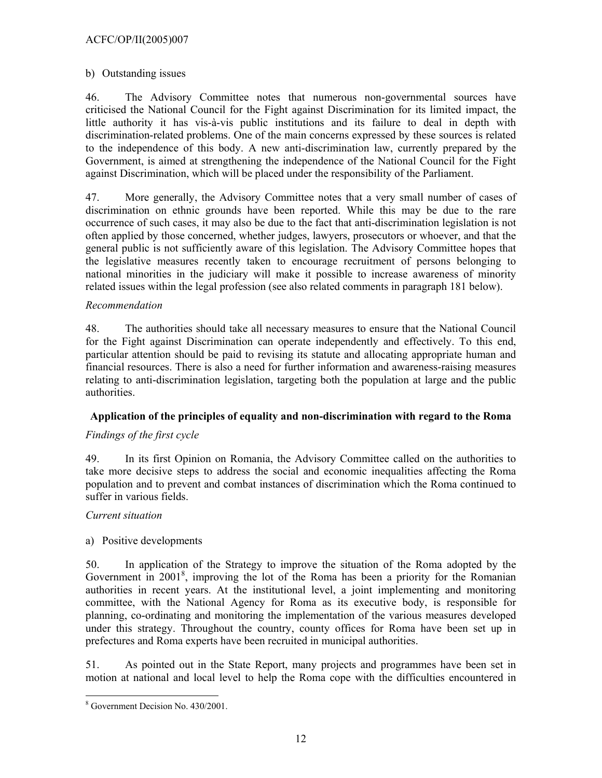# ACFC/OP/II(2005)007

# b) Outstanding issues

46. The Advisory Committee notes that numerous non-governmental sources have criticised the National Council for the Fight against Discrimination for its limited impact, the little authority it has vis-à-vis public institutions and its failure to deal in depth with discrimination-related problems. One of the main concerns expressed by these sources is related to the independence of this body. A new anti-discrimination law, currently prepared by the Government, is aimed at strengthening the independence of the National Council for the Fight against Discrimination, which will be placed under the responsibility of the Parliament.

47. More generally, the Advisory Committee notes that a very small number of cases of discrimination on ethnic grounds have been reported. While this may be due to the rare occurrence of such cases, it may also be due to the fact that anti-discrimination legislation is not often applied by those concerned, whether judges, lawyers, prosecutors or whoever, and that the general public is not sufficiently aware of this legislation. The Advisory Committee hopes that the legislative measures recently taken to encourage recruitment of persons belonging to national minorities in the judiciary will make it possible to increase awareness of minority related issues within the legal profession (see also related comments in paragraph 181 below).

# *Recommendation*

48. The authorities should take all necessary measures to ensure that the National Council for the Fight against Discrimination can operate independently and effectively. To this end, particular attention should be paid to revising its statute and allocating appropriate human and financial resources. There is also a need for further information and awareness-raising measures relating to anti-discrimination legislation, targeting both the population at large and the public authorities.

# **Application of the principles of equality and non-discrimination with regard to the Roma**

# *Findings of the first cycle*

49. In its first Opinion on Romania, the Advisory Committee called on the authorities to take more decisive steps to address the social and economic inequalities affecting the Roma population and to prevent and combat instances of discrimination which the Roma continued to suffer in various fields.

# *Current situation*

# a) Positive developments

50. In application of the Strategy to improve the situation of the Roma adopted by the Government in 2001<sup>8</sup>, improving the lot of the Roma has been a priority for the Romanian authorities in recent years. At the institutional level, a joint implementing and monitoring committee, with the National Agency for Roma as its executive body, is responsible for planning, co-ordinating and monitoring the implementation of the various measures developed under this strategy. Throughout the country, county offices for Roma have been set up in prefectures and Roma experts have been recruited in municipal authorities.

51. As pointed out in the State Report, many projects and programmes have been set in motion at national and local level to help the Roma cope with the difficulties encountered in

<sup>&</sup>lt;sup>8</sup> Government Decision No. 430/2001.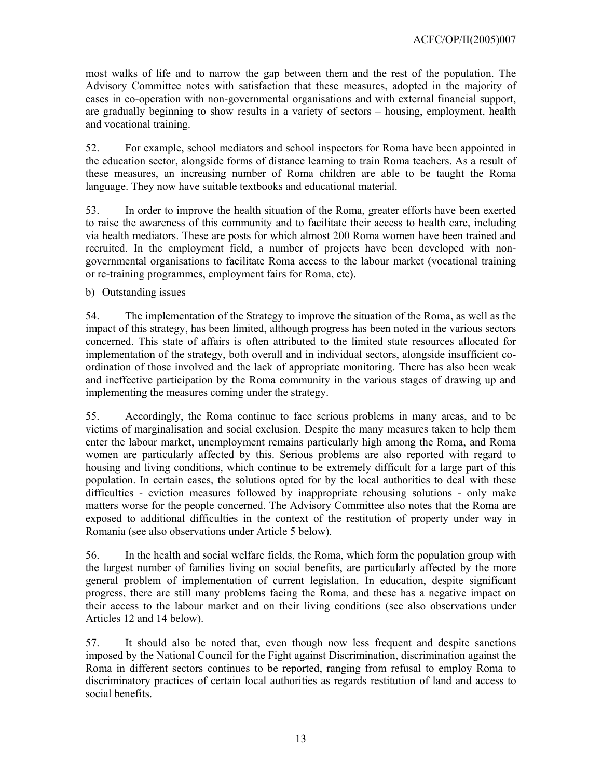most walks of life and to narrow the gap between them and the rest of the population. The Advisory Committee notes with satisfaction that these measures, adopted in the majority of cases in co-operation with non-governmental organisations and with external financial support, are gradually beginning to show results in a variety of sectors – housing, employment, health and vocational training.

52. For example, school mediators and school inspectors for Roma have been appointed in the education sector, alongside forms of distance learning to train Roma teachers. As a result of these measures, an increasing number of Roma children are able to be taught the Roma language. They now have suitable textbooks and educational material.

53. In order to improve the health situation of the Roma, greater efforts have been exerted to raise the awareness of this community and to facilitate their access to health care, including via health mediators. These are posts for which almost 200 Roma women have been trained and recruited. In the employment field, a number of projects have been developed with nongovernmental organisations to facilitate Roma access to the labour market (vocational training or re-training programmes, employment fairs for Roma, etc).

b) Outstanding issues

54. The implementation of the Strategy to improve the situation of the Roma, as well as the impact of this strategy, has been limited, although progress has been noted in the various sectors concerned. This state of affairs is often attributed to the limited state resources allocated for implementation of the strategy, both overall and in individual sectors, alongside insufficient coordination of those involved and the lack of appropriate monitoring. There has also been weak and ineffective participation by the Roma community in the various stages of drawing up and implementing the measures coming under the strategy.

55. Accordingly, the Roma continue to face serious problems in many areas, and to be victims of marginalisation and social exclusion. Despite the many measures taken to help them enter the labour market, unemployment remains particularly high among the Roma, and Roma women are particularly affected by this. Serious problems are also reported with regard to housing and living conditions, which continue to be extremely difficult for a large part of this population. In certain cases, the solutions opted for by the local authorities to deal with these difficulties - eviction measures followed by inappropriate rehousing solutions - only make matters worse for the people concerned. The Advisory Committee also notes that the Roma are exposed to additional difficulties in the context of the restitution of property under way in Romania (see also observations under Article 5 below).

56. In the health and social welfare fields, the Roma, which form the population group with the largest number of families living on social benefits, are particularly affected by the more general problem of implementation of current legislation. In education, despite significant progress, there are still many problems facing the Roma, and these has a negative impact on their access to the labour market and on their living conditions (see also observations under Articles 12 and 14 below).

57. It should also be noted that, even though now less frequent and despite sanctions imposed by the National Council for the Fight against Discrimination, discrimination against the Roma in different sectors continues to be reported, ranging from refusal to employ Roma to discriminatory practices of certain local authorities as regards restitution of land and access to social benefits.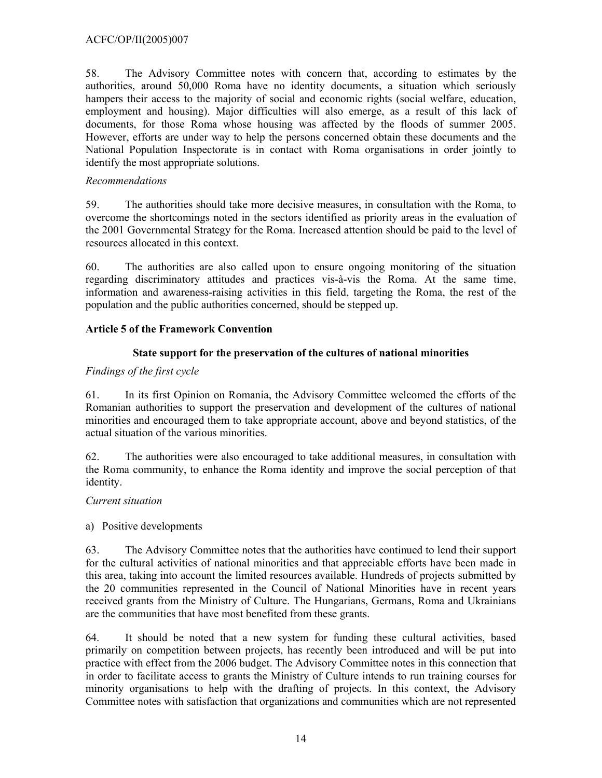58. The Advisory Committee notes with concern that, according to estimates by the authorities, around 50,000 Roma have no identity documents, a situation which seriously hampers their access to the majority of social and economic rights (social welfare, education, employment and housing). Major difficulties will also emerge, as a result of this lack of documents, for those Roma whose housing was affected by the floods of summer 2005. However, efforts are under way to help the persons concerned obtain these documents and the National Population Inspectorate is in contact with Roma organisations in order jointly to identify the most appropriate solutions.

# *Recommendations*

59. The authorities should take more decisive measures, in consultation with the Roma, to overcome the shortcomings noted in the sectors identified as priority areas in the evaluation of the 2001 Governmental Strategy for the Roma. Increased attention should be paid to the level of resources allocated in this context.

60. The authorities are also called upon to ensure ongoing monitoring of the situation regarding discriminatory attitudes and practices vis-à-vis the Roma. At the same time, information and awareness-raising activities in this field, targeting the Roma, the rest of the population and the public authorities concerned, should be stepped up.

# **Article 5 of the Framework Convention**

# **State support for the preservation of the cultures of national minorities**

# *Findings of the first cycle*

61. In its first Opinion on Romania, the Advisory Committee welcomed the efforts of the Romanian authorities to support the preservation and development of the cultures of national minorities and encouraged them to take appropriate account, above and beyond statistics, of the actual situation of the various minorities.

62. The authorities were also encouraged to take additional measures, in consultation with the Roma community, to enhance the Roma identity and improve the social perception of that identity.

# *Current situation*

a) Positive developments

63. The Advisory Committee notes that the authorities have continued to lend their support for the cultural activities of national minorities and that appreciable efforts have been made in this area, taking into account the limited resources available. Hundreds of projects submitted by the 20 communities represented in the Council of National Minorities have in recent years received grants from the Ministry of Culture. The Hungarians, Germans, Roma and Ukrainians are the communities that have most benefited from these grants.

64. It should be noted that a new system for funding these cultural activities, based primarily on competition between projects, has recently been introduced and will be put into practice with effect from the 2006 budget. The Advisory Committee notes in this connection that in order to facilitate access to grants the Ministry of Culture intends to run training courses for minority organisations to help with the drafting of projects. In this context, the Advisory Committee notes with satisfaction that organizations and communities which are not represented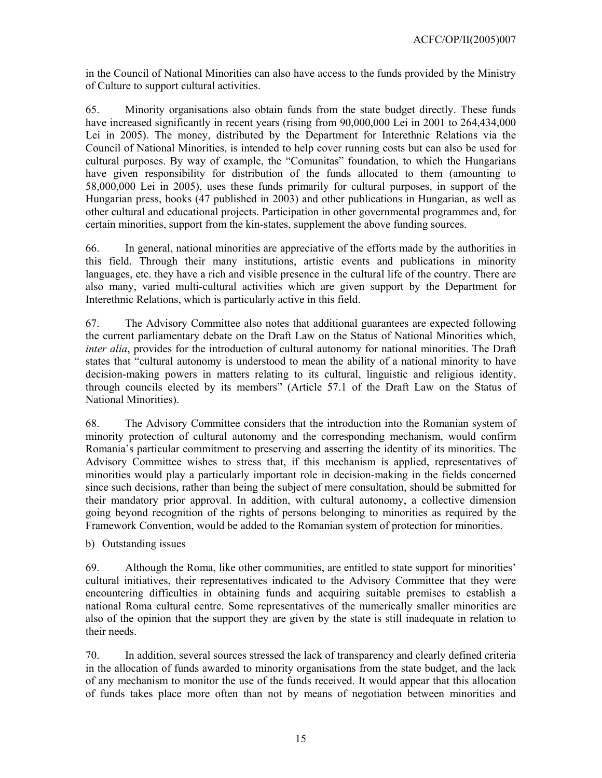in the Council of National Minorities can also have access to the funds provided by the Ministry of Culture to support cultural activities.

65. Minority organisations also obtain funds from the state budget directly. These funds have increased significantly in recent years (rising from 90,000,000 Lei in 2001 to 264,434,000 Lei in 2005). The money, distributed by the Department for Interethnic Relations via the Council of National Minorities, is intended to help cover running costs but can also be used for cultural purposes. By way of example, the "Comunitas" foundation, to which the Hungarians have given responsibility for distribution of the funds allocated to them (amounting to 58,000,000 Lei in 2005), uses these funds primarily for cultural purposes, in support of the Hungarian press, books (47 published in 2003) and other publications in Hungarian, as well as other cultural and educational projects. Participation in other governmental programmes and, for certain minorities, support from the kin-states, supplement the above funding sources.

66. In general, national minorities are appreciative of the efforts made by the authorities in this field. Through their many institutions, artistic events and publications in minority languages, etc. they have a rich and visible presence in the cultural life of the country. There are also many, varied multi-cultural activities which are given support by the Department for Interethnic Relations, which is particularly active in this field.

67. The Advisory Committee also notes that additional guarantees are expected following the current parliamentary debate on the Draft Law on the Status of National Minorities which, *inter alia*, provides for the introduction of cultural autonomy for national minorities. The Draft states that "cultural autonomy is understood to mean the ability of a national minority to have decision-making powers in matters relating to its cultural, linguistic and religious identity, through councils elected by its members" (Article 57.1 of the Draft Law on the Status of National Minorities).

68. The Advisory Committee considers that the introduction into the Romanian system of minority protection of cultural autonomy and the corresponding mechanism, would confirm Romania's particular commitment to preserving and asserting the identity of its minorities. The Advisory Committee wishes to stress that, if this mechanism is applied, representatives of minorities would play a particularly important role in decision-making in the fields concerned since such decisions, rather than being the subject of mere consultation, should be submitted for their mandatory prior approval. In addition, with cultural autonomy, a collective dimension going beyond recognition of the rights of persons belonging to minorities as required by the Framework Convention, would be added to the Romanian system of protection for minorities.

b) Outstanding issues

69. Although the Roma, like other communities, are entitled to state support for minorities' cultural initiatives, their representatives indicated to the Advisory Committee that they were encountering difficulties in obtaining funds and acquiring suitable premises to establish a national Roma cultural centre. Some representatives of the numerically smaller minorities are also of the opinion that the support they are given by the state is still inadequate in relation to their needs.

70. In addition, several sources stressed the lack of transparency and clearly defined criteria in the allocation of funds awarded to minority organisations from the state budget, and the lack of any mechanism to monitor the use of the funds received. It would appear that this allocation of funds takes place more often than not by means of negotiation between minorities and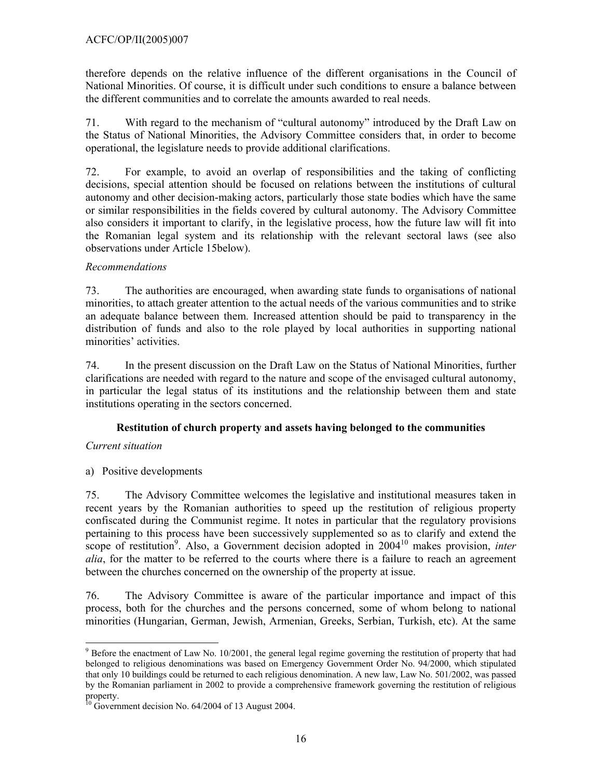therefore depends on the relative influence of the different organisations in the Council of National Minorities. Of course, it is difficult under such conditions to ensure a balance between the different communities and to correlate the amounts awarded to real needs.

71. With regard to the mechanism of "cultural autonomy" introduced by the Draft Law on the Status of National Minorities, the Advisory Committee considers that, in order to become operational, the legislature needs to provide additional clarifications.

72. For example, to avoid an overlap of responsibilities and the taking of conflicting decisions, special attention should be focused on relations between the institutions of cultural autonomy and other decision-making actors, particularly those state bodies which have the same or similar responsibilities in the fields covered by cultural autonomy. The Advisory Committee also considers it important to clarify, in the legislative process, how the future law will fit into the Romanian legal system and its relationship with the relevant sectoral laws (see also observations under Article 15below).

# *Recommendations*

73. The authorities are encouraged, when awarding state funds to organisations of national minorities, to attach greater attention to the actual needs of the various communities and to strike an adequate balance between them. Increased attention should be paid to transparency in the distribution of funds and also to the role played by local authorities in supporting national minorities' activities.

74. In the present discussion on the Draft Law on the Status of National Minorities, further clarifications are needed with regard to the nature and scope of the envisaged cultural autonomy, in particular the legal status of its institutions and the relationship between them and state institutions operating in the sectors concerned.

# **Restitution of church property and assets having belonged to the communities**

# *Current situation*

a) Positive developments

75. The Advisory Committee welcomes the legislative and institutional measures taken in recent years by the Romanian authorities to speed up the restitution of religious property confiscated during the Communist regime. It notes in particular that the regulatory provisions pertaining to this process have been successively supplemented so as to clarify and extend the scope of restitution<sup>9</sup>. Also, a Government decision adopted in 2004<sup>10</sup> makes provision, *inter alia*, for the matter to be referred to the courts where there is a failure to reach an agreement between the churches concerned on the ownership of the property at issue.

76. The Advisory Committee is aware of the particular importance and impact of this process, both for the churches and the persons concerned, some of whom belong to national minorities (Hungarian, German, Jewish, Armenian, Greeks, Serbian, Turkish, etc). At the same

l  $9^9$  Before the enactment of Law No. 10/2001, the general legal regime governing the restitution of property that had belonged to religious denominations was based on Emergency Government Order No. 94/2000, which stipulated that only 10 buildings could be returned to each religious denomination. A new law, Law No. 501/2002, was passed by the Romanian parliament in 2002 to provide a comprehensive framework governing the restitution of religious property.

 $^{10}$  Government decision No. 64/2004 of 13 August 2004.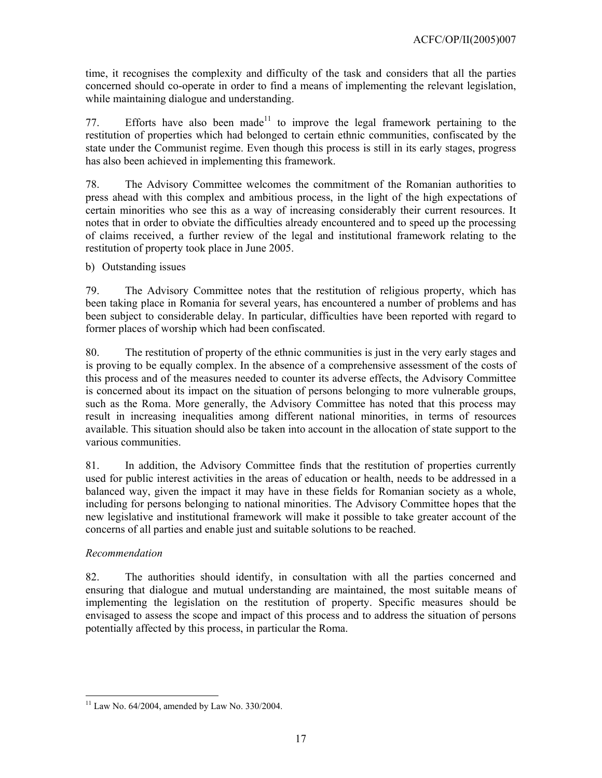time, it recognises the complexity and difficulty of the task and considers that all the parties concerned should co-operate in order to find a means of implementing the relevant legislation, while maintaining dialogue and understanding.

77. Efforts have also been made<sup>11</sup> to improve the legal framework pertaining to the restitution of properties which had belonged to certain ethnic communities, confiscated by the state under the Communist regime. Even though this process is still in its early stages, progress has also been achieved in implementing this framework.

78. The Advisory Committee welcomes the commitment of the Romanian authorities to press ahead with this complex and ambitious process, in the light of the high expectations of certain minorities who see this as a way of increasing considerably their current resources. It notes that in order to obviate the difficulties already encountered and to speed up the processing of claims received, a further review of the legal and institutional framework relating to the restitution of property took place in June 2005.

b) Outstanding issues

79. The Advisory Committee notes that the restitution of religious property, which has been taking place in Romania for several years, has encountered a number of problems and has been subject to considerable delay. In particular, difficulties have been reported with regard to former places of worship which had been confiscated.

80. The restitution of property of the ethnic communities is just in the very early stages and is proving to be equally complex. In the absence of a comprehensive assessment of the costs of this process and of the measures needed to counter its adverse effects, the Advisory Committee is concerned about its impact on the situation of persons belonging to more vulnerable groups, such as the Roma. More generally, the Advisory Committee has noted that this process may result in increasing inequalities among different national minorities, in terms of resources available. This situation should also be taken into account in the allocation of state support to the various communities.

81. In addition, the Advisory Committee finds that the restitution of properties currently used for public interest activities in the areas of education or health, needs to be addressed in a balanced way, given the impact it may have in these fields for Romanian society as a whole, including for persons belonging to national minorities. The Advisory Committee hopes that the new legislative and institutional framework will make it possible to take greater account of the concerns of all parties and enable just and suitable solutions to be reached.

# *Recommendation*

82. The authorities should identify, in consultation with all the parties concerned and ensuring that dialogue and mutual understanding are maintained, the most suitable means of implementing the legislation on the restitution of property. Specific measures should be envisaged to assess the scope and impact of this process and to address the situation of persons potentially affected by this process, in particular the Roma.

 $\overline{a}$  $11$  Law No. 64/2004, amended by Law No. 330/2004.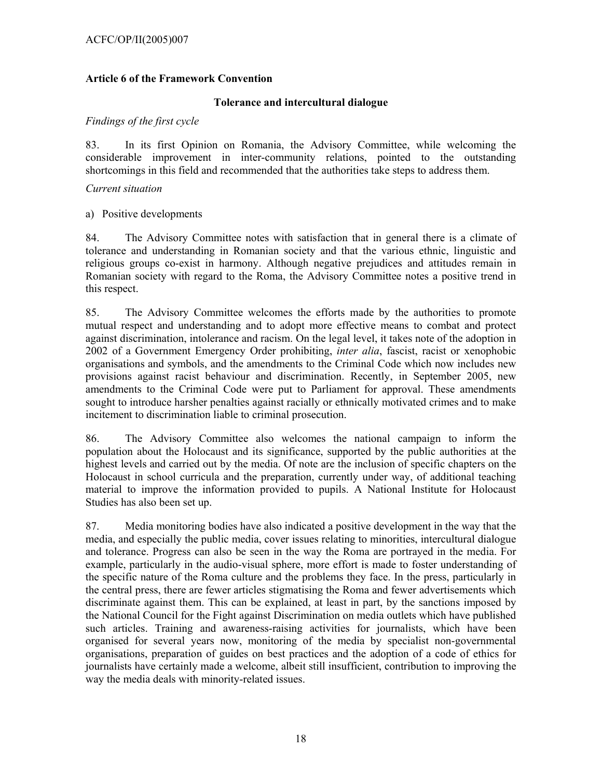# **Article 6 of the Framework Convention**

### **Tolerance and intercultural dialogue**

### *Findings of the first cycle*

83. In its first Opinion on Romania, the Advisory Committee, while welcoming the considerable improvement in inter-community relations, pointed to the outstanding shortcomings in this field and recommended that the authorities take steps to address them.

### *Current situation*

# a) Positive developments

84. The Advisory Committee notes with satisfaction that in general there is a climate of tolerance and understanding in Romanian society and that the various ethnic, linguistic and religious groups co-exist in harmony. Although negative prejudices and attitudes remain in Romanian society with regard to the Roma, the Advisory Committee notes a positive trend in this respect.

85. The Advisory Committee welcomes the efforts made by the authorities to promote mutual respect and understanding and to adopt more effective means to combat and protect against discrimination, intolerance and racism. On the legal level, it takes note of the adoption in 2002 of a Government Emergency Order prohibiting, *inter alia*, fascist, racist or xenophobic organisations and symbols, and the amendments to the Criminal Code which now includes new provisions against racist behaviour and discrimination. Recently, in September 2005, new amendments to the Criminal Code were put to Parliament for approval. These amendments sought to introduce harsher penalties against racially or ethnically motivated crimes and to make incitement to discrimination liable to criminal prosecution.

86. The Advisory Committee also welcomes the national campaign to inform the population about the Holocaust and its significance, supported by the public authorities at the highest levels and carried out by the media. Of note are the inclusion of specific chapters on the Holocaust in school curricula and the preparation, currently under way, of additional teaching material to improve the information provided to pupils. A National Institute for Holocaust Studies has also been set up.

87. Media monitoring bodies have also indicated a positive development in the way that the media, and especially the public media, cover issues relating to minorities, intercultural dialogue and tolerance. Progress can also be seen in the way the Roma are portrayed in the media. For example, particularly in the audio-visual sphere, more effort is made to foster understanding of the specific nature of the Roma culture and the problems they face. In the press, particularly in the central press, there are fewer articles stigmatising the Roma and fewer advertisements which discriminate against them. This can be explained, at least in part, by the sanctions imposed by the National Council for the Fight against Discrimination on media outlets which have published such articles. Training and awareness-raising activities for journalists, which have been organised for several years now, monitoring of the media by specialist non-governmental organisations, preparation of guides on best practices and the adoption of a code of ethics for journalists have certainly made a welcome, albeit still insufficient, contribution to improving the way the media deals with minority-related issues.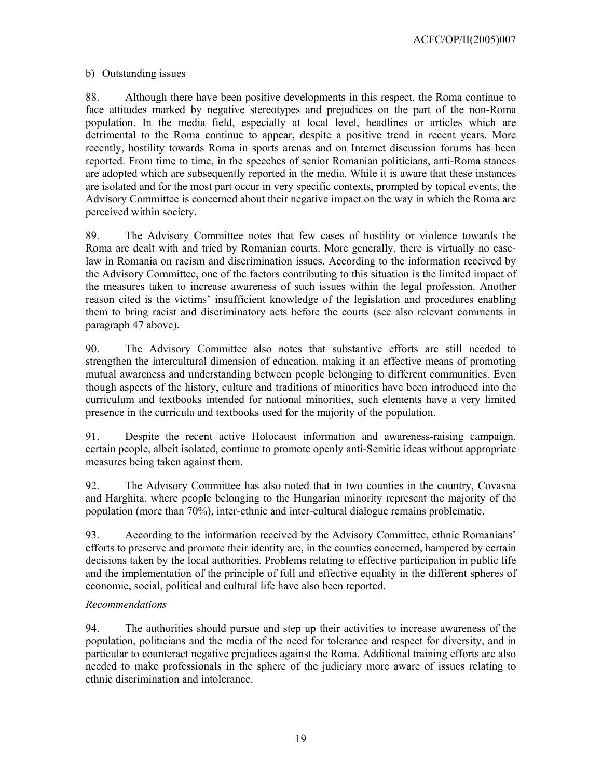ACFC/OP/II(2005)007

# b) Outstanding issues

88. Although there have been positive developments in this respect, the Roma continue to face attitudes marked by negative stereotypes and prejudices on the part of the non-Roma population. In the media field, especially at local level, headlines or articles which are detrimental to the Roma continue to appear, despite a positive trend in recent years. More recently, hostility towards Roma in sports arenas and on Internet discussion forums has been reported. From time to time, in the speeches of senior Romanian politicians, anti-Roma stances are adopted which are subsequently reported in the media. While it is aware that these instances are isolated and for the most part occur in very specific contexts, prompted by topical events, the Advisory Committee is concerned about their negative impact on the way in which the Roma are perceived within society.

89. The Advisory Committee notes that few cases of hostility or violence towards the Roma are dealt with and tried by Romanian courts. More generally, there is virtually no caselaw in Romania on racism and discrimination issues. According to the information received by the Advisory Committee, one of the factors contributing to this situation is the limited impact of the measures taken to increase awareness of such issues within the legal profession. Another reason cited is the victims' insufficient knowledge of the legislation and procedures enabling them to bring racist and discriminatory acts before the courts (see also relevant comments in paragraph 47 above).

90. The Advisory Committee also notes that substantive efforts are still needed to strengthen the intercultural dimension of education, making it an effective means of promoting mutual awareness and understanding between people belonging to different communities. Even though aspects of the history, culture and traditions of minorities have been introduced into the curriculum and textbooks intended for national minorities, such elements have a very limited presence in the curricula and textbooks used for the majority of the population.

91. Despite the recent active Holocaust information and awareness-raising campaign, certain people, albeit isolated, continue to promote openly anti-Semitic ideas without appropriate measures being taken against them.

92. The Advisory Committee has also noted that in two counties in the country, Covasna and Harghita, where people belonging to the Hungarian minority represent the majority of the population (more than 70%), inter-ethnic and inter-cultural dialogue remains problematic.

93. According to the information received by the Advisory Committee, ethnic Romanians' efforts to preserve and promote their identity are, in the counties concerned, hampered by certain decisions taken by the local authorities. Problems relating to effective participation in public life and the implementation of the principle of full and effective equality in the different spheres of economic, social, political and cultural life have also been reported.

# *Recommendations*

94. The authorities should pursue and step up their activities to increase awareness of the population, politicians and the media of the need for tolerance and respect for diversity, and in particular to counteract negative prejudices against the Roma. Additional training efforts are also needed to make professionals in the sphere of the judiciary more aware of issues relating to ethnic discrimination and intolerance.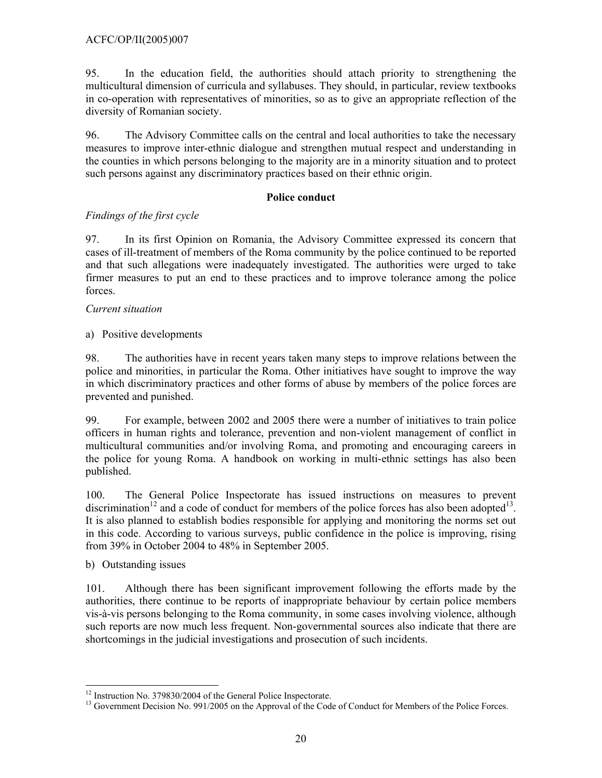95. In the education field, the authorities should attach priority to strengthening the multicultural dimension of curricula and syllabuses. They should, in particular, review textbooks in co-operation with representatives of minorities, so as to give an appropriate reflection of the diversity of Romanian society.

96. The Advisory Committee calls on the central and local authorities to take the necessary measures to improve inter-ethnic dialogue and strengthen mutual respect and understanding in the counties in which persons belonging to the majority are in a minority situation and to protect such persons against any discriminatory practices based on their ethnic origin.

# **Police conduct**

# *Findings of the first cycle*

97. In its first Opinion on Romania, the Advisory Committee expressed its concern that cases of ill-treatment of members of the Roma community by the police continued to be reported and that such allegations were inadequately investigated. The authorities were urged to take firmer measures to put an end to these practices and to improve tolerance among the police forces.

# *Current situation*

a) Positive developments

98. The authorities have in recent years taken many steps to improve relations between the police and minorities, in particular the Roma. Other initiatives have sought to improve the way in which discriminatory practices and other forms of abuse by members of the police forces are prevented and punished.

99. For example, between 2002 and 2005 there were a number of initiatives to train police officers in human rights and tolerance, prevention and non-violent management of conflict in multicultural communities and/or involving Roma, and promoting and encouraging careers in the police for young Roma. A handbook on working in multi-ethnic settings has also been published.

100. The General Police Inspectorate has issued instructions on measures to prevent discrimination<sup>12</sup> and a code of conduct for members of the police forces has also been adopted<sup>13</sup>. It is also planned to establish bodies responsible for applying and monitoring the norms set out in this code. According to various surveys, public confidence in the police is improving, rising from 39% in October 2004 to 48% in September 2005.

b) Outstanding issues

 $\overline{a}$ 

101. Although there has been significant improvement following the efforts made by the authorities, there continue to be reports of inappropriate behaviour by certain police members vis-à-vis persons belonging to the Roma community, in some cases involving violence, although such reports are now much less frequent. Non-governmental sources also indicate that there are shortcomings in the judicial investigations and prosecution of such incidents.

<sup>&</sup>lt;sup>12</sup> Instruction No. 379830/2004 of the General Police Inspectorate.

<sup>&</sup>lt;sup>13</sup> Government Decision No. 991/2005 on the Approval of the Code of Conduct for Members of the Police Forces.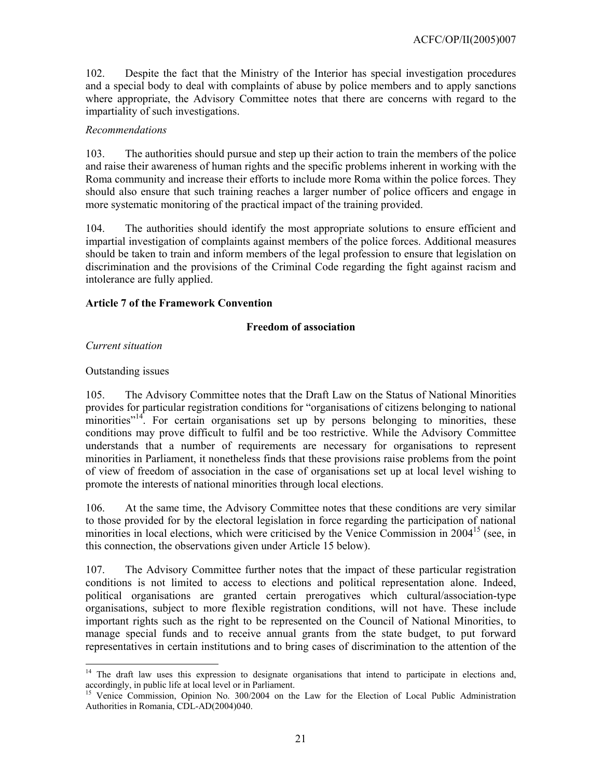102. Despite the fact that the Ministry of the Interior has special investigation procedures and a special body to deal with complaints of abuse by police members and to apply sanctions where appropriate, the Advisory Committee notes that there are concerns with regard to the impartiality of such investigations.

# *Recommendations*

103. The authorities should pursue and step up their action to train the members of the police and raise their awareness of human rights and the specific problems inherent in working with the Roma community and increase their efforts to include more Roma within the police forces. They should also ensure that such training reaches a larger number of police officers and engage in more systematic monitoring of the practical impact of the training provided.

104. The authorities should identify the most appropriate solutions to ensure efficient and impartial investigation of complaints against members of the police forces. Additional measures should be taken to train and inform members of the legal profession to ensure that legislation on discrimination and the provisions of the Criminal Code regarding the fight against racism and intolerance are fully applied.

### **Article 7 of the Framework Convention**

### **Freedom of association**

*Current situation* 

### Outstanding issues

105. The Advisory Committee notes that the Draft Law on the Status of National Minorities provides for particular registration conditions for "organisations of citizens belonging to national minorities<sup>"14</sup>. For certain organisations set up by persons belonging to minorities, these conditions may prove difficult to fulfil and be too restrictive. While the Advisory Committee understands that a number of requirements are necessary for organisations to represent minorities in Parliament, it nonetheless finds that these provisions raise problems from the point of view of freedom of association in the case of organisations set up at local level wishing to promote the interests of national minorities through local elections.

106. At the same time, the Advisory Committee notes that these conditions are very similar to those provided for by the electoral legislation in force regarding the participation of national minorities in local elections, which were criticised by the Venice Commission in  $2004<sup>15</sup>$  (see, in this connection, the observations given under Article 15 below).

107. The Advisory Committee further notes that the impact of these particular registration conditions is not limited to access to elections and political representation alone. Indeed, political organisations are granted certain prerogatives which cultural/association-type organisations, subject to more flexible registration conditions, will not have. These include important rights such as the right to be represented on the Council of National Minorities, to manage special funds and to receive annual grants from the state budget, to put forward representatives in certain institutions and to bring cases of discrimination to the attention of the

l <sup>14</sup> The draft law uses this expression to designate organisations that intend to participate in elections and, accordingly, in public life at local level or in Parliament.

<sup>&</sup>lt;sup>15</sup> Venice Commission, Opinion No. 300/2004 on the Law for the Election of Local Public Administration Authorities in Romania, CDL-AD(2004)040.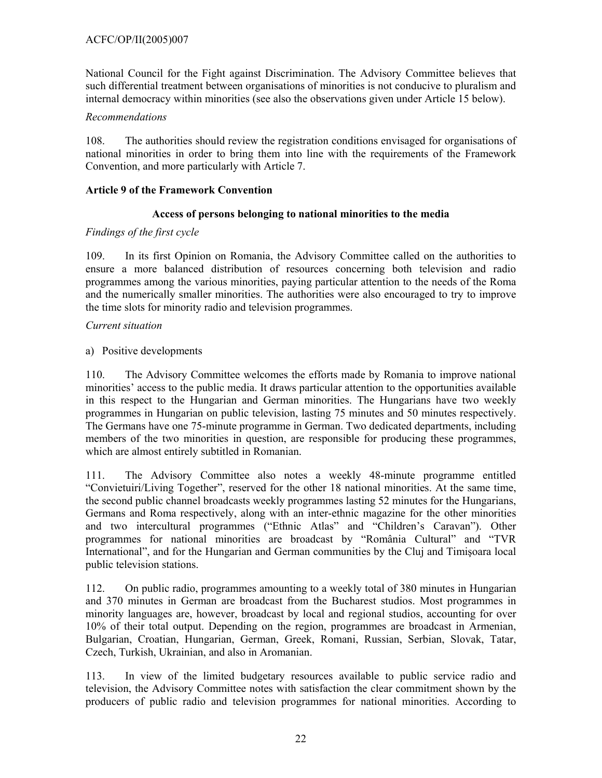National Council for the Fight against Discrimination. The Advisory Committee believes that such differential treatment between organisations of minorities is not conducive to pluralism and internal democracy within minorities (see also the observations given under Article 15 below).

# *Recommendations*

108. The authorities should review the registration conditions envisaged for organisations of national minorities in order to bring them into line with the requirements of the Framework Convention, and more particularly with Article 7.

# **Article 9 of the Framework Convention**

# **Access of persons belonging to national minorities to the media**

# *Findings of the first cycle*

109. In its first Opinion on Romania, the Advisory Committee called on the authorities to ensure a more balanced distribution of resources concerning both television and radio programmes among the various minorities, paying particular attention to the needs of the Roma and the numerically smaller minorities. The authorities were also encouraged to try to improve the time slots for minority radio and television programmes.

# *Current situation*

# a) Positive developments

110. The Advisory Committee welcomes the efforts made by Romania to improve national minorities' access to the public media. It draws particular attention to the opportunities available in this respect to the Hungarian and German minorities. The Hungarians have two weekly programmes in Hungarian on public television, lasting 75 minutes and 50 minutes respectively. The Germans have one 75-minute programme in German. Two dedicated departments, including members of the two minorities in question, are responsible for producing these programmes, which are almost entirely subtitled in Romanian.

111. The Advisory Committee also notes a weekly 48-minute programme entitled "Convietuiri/Living Together", reserved for the other 18 national minorities. At the same time, the second public channel broadcasts weekly programmes lasting 52 minutes for the Hungarians, Germans and Roma respectively, along with an inter-ethnic magazine for the other minorities and two intercultural programmes ("Ethnic Atlas" and "Children's Caravan"). Other programmes for national minorities are broadcast by "România Cultural" and "TVR International", and for the Hungarian and German communities by the Cluj and Timişoara local public television stations.

112. On public radio, programmes amounting to a weekly total of 380 minutes in Hungarian and 370 minutes in German are broadcast from the Bucharest studios. Most programmes in minority languages are, however, broadcast by local and regional studios, accounting for over 10% of their total output. Depending on the region, programmes are broadcast in Armenian, Bulgarian, Croatian, Hungarian, German, Greek, Romani, Russian, Serbian, Slovak, Tatar, Czech, Turkish, Ukrainian, and also in Aromanian.

113. In view of the limited budgetary resources available to public service radio and television, the Advisory Committee notes with satisfaction the clear commitment shown by the producers of public radio and television programmes for national minorities. According to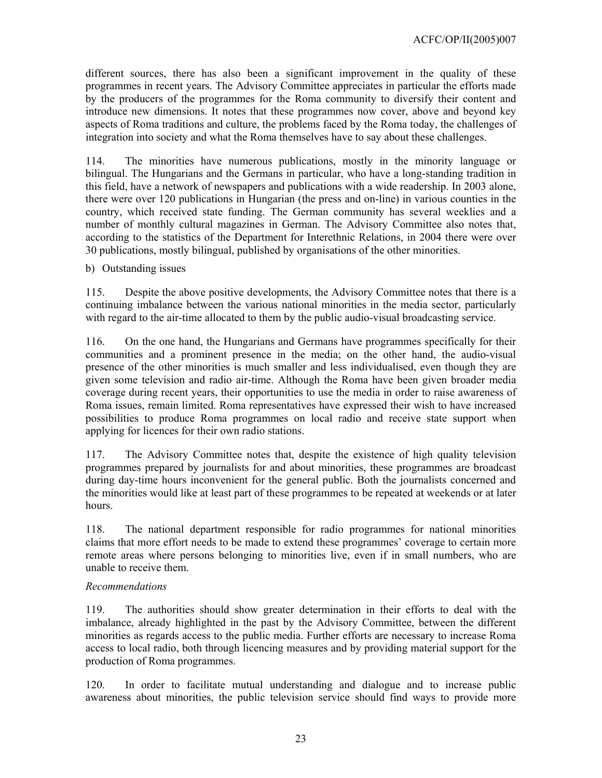different sources, there has also been a significant improvement in the quality of these programmes in recent years. The Advisory Committee appreciates in particular the efforts made by the producers of the programmes for the Roma community to diversify their content and introduce new dimensions. It notes that these programmes now cover, above and beyond key aspects of Roma traditions and culture, the problems faced by the Roma today, the challenges of integration into society and what the Roma themselves have to say about these challenges.

114. The minorities have numerous publications, mostly in the minority language or bilingual. The Hungarians and the Germans in particular, who have a long-standing tradition in this field, have a network of newspapers and publications with a wide readership. In 2003 alone, there were over 120 publications in Hungarian (the press and on-line) in various counties in the country, which received state funding. The German community has several weeklies and a number of monthly cultural magazines in German. The Advisory Committee also notes that, according to the statistics of the Department for Interethnic Relations, in 2004 there were over 30 publications, mostly bilingual, published by organisations of the other minorities.

b) Outstanding issues

115. Despite the above positive developments, the Advisory Committee notes that there is a continuing imbalance between the various national minorities in the media sector, particularly with regard to the air-time allocated to them by the public audio-visual broadcasting service.

116. On the one hand, the Hungarians and Germans have programmes specifically for their communities and a prominent presence in the media; on the other hand, the audio-visual presence of the other minorities is much smaller and less individualised, even though they are given some television and radio air-time. Although the Roma have been given broader media coverage during recent years, their opportunities to use the media in order to raise awareness of Roma issues, remain limited. Roma representatives have expressed their wish to have increased possibilities to produce Roma programmes on local radio and receive state support when applying for licences for their own radio stations.

117. The Advisory Committee notes that, despite the existence of high quality television programmes prepared by journalists for and about minorities, these programmes are broadcast during day-time hours inconvenient for the general public. Both the journalists concerned and the minorities would like at least part of these programmes to be repeated at weekends or at later hours.

118. The national department responsible for radio programmes for national minorities claims that more effort needs to be made to extend these programmes' coverage to certain more remote areas where persons belonging to minorities live, even if in small numbers, who are unable to receive them.

# *Recommendations*

119. The authorities should show greater determination in their efforts to deal with the imbalance, already highlighted in the past by the Advisory Committee, between the different minorities as regards access to the public media. Further efforts are necessary to increase Roma access to local radio, both through licencing measures and by providing material support for the production of Roma programmes.

120. In order to facilitate mutual understanding and dialogue and to increase public awareness about minorities, the public television service should find ways to provide more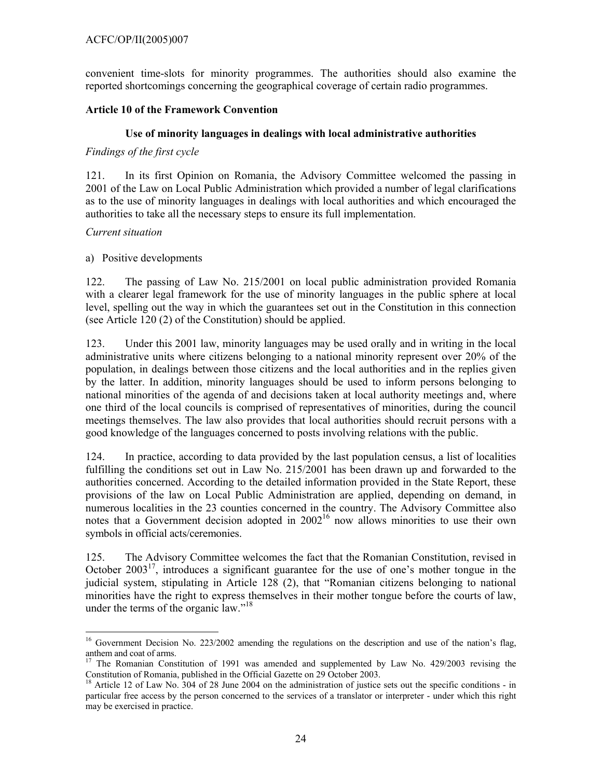convenient time-slots for minority programmes. The authorities should also examine the reported shortcomings concerning the geographical coverage of certain radio programmes.

# **Article 10 of the Framework Convention**

# **Use of minority languages in dealings with local administrative authorities**

# *Findings of the first cycle*

121. In its first Opinion on Romania, the Advisory Committee welcomed the passing in 2001 of the Law on Local Public Administration which provided a number of legal clarifications as to the use of minority languages in dealings with local authorities and which encouraged the authorities to take all the necessary steps to ensure its full implementation.

# *Current situation*

# a) Positive developments

122. The passing of Law No. 215/2001 on local public administration provided Romania with a clearer legal framework for the use of minority languages in the public sphere at local level, spelling out the way in which the guarantees set out in the Constitution in this connection (see Article 120 (2) of the Constitution) should be applied.

123. Under this 2001 law, minority languages may be used orally and in writing in the local administrative units where citizens belonging to a national minority represent over 20% of the population, in dealings between those citizens and the local authorities and in the replies given by the latter. In addition, minority languages should be used to inform persons belonging to national minorities of the agenda of and decisions taken at local authority meetings and, where one third of the local councils is comprised of representatives of minorities, during the council meetings themselves. The law also provides that local authorities should recruit persons with a good knowledge of the languages concerned to posts involving relations with the public.

124. In practice, according to data provided by the last population census, a list of localities fulfilling the conditions set out in Law No. 215/2001 has been drawn up and forwarded to the authorities concerned. According to the detailed information provided in the State Report, these provisions of the law on Local Public Administration are applied, depending on demand, in numerous localities in the 23 counties concerned in the country. The Advisory Committee also notes that a Government decision adopted in  $2002^{16}$  now allows minorities to use their own symbols in official acts/ceremonies.

125. The Advisory Committee welcomes the fact that the Romanian Constitution, revised in October 2003<sup>17</sup>, introduces a significant guarantee for the use of one's mother tongue in the judicial system, stipulating in Article 128 (2), that "Romanian citizens belonging to national minorities have the right to express themselves in their mother tongue before the courts of law, under the terms of the organic law."<sup>18</sup>

 <sup>16</sup> Government Decision No. 223/2002 amending the regulations on the description and use of the nation's flag, anthem and coat of arms.

<sup>&</sup>lt;sup>17</sup> The Romanian Constitution of 1991 was amended and supplemented by Law No. 429/2003 revising the Constitution of Romania, published in the Official Gazette on 29 October 2003.

<sup>18</sup> Article 12 of Law No. 304 of 28 June 2004 on the administration of justice sets out the specific conditions - in particular free access by the person concerned to the services of a translator or interpreter - under which this right may be exercised in practice.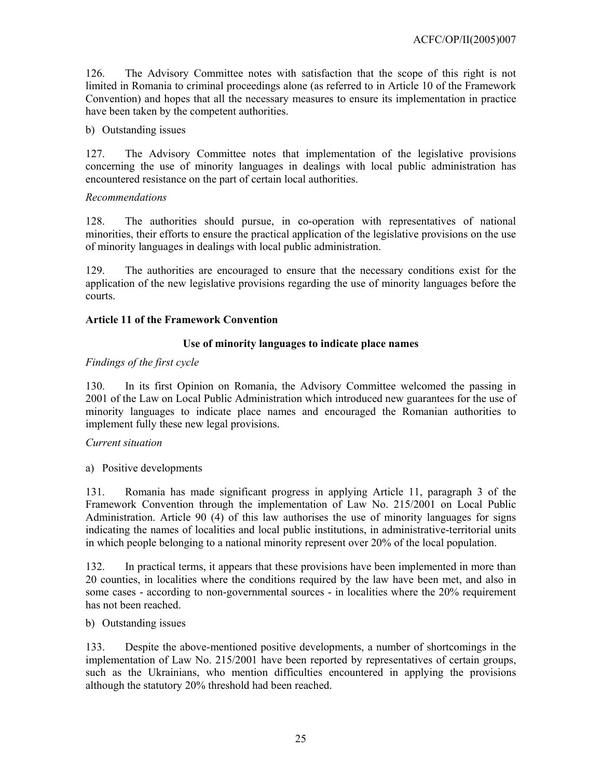126. The Advisory Committee notes with satisfaction that the scope of this right is not limited in Romania to criminal proceedings alone (as referred to in Article 10 of the Framework Convention) and hopes that all the necessary measures to ensure its implementation in practice have been taken by the competent authorities.

# b) Outstanding issues

127. The Advisory Committee notes that implementation of the legislative provisions concerning the use of minority languages in dealings with local public administration has encountered resistance on the part of certain local authorities.

### *Recommendations*

128. The authorities should pursue, in co-operation with representatives of national minorities, their efforts to ensure the practical application of the legislative provisions on the use of minority languages in dealings with local public administration.

129. The authorities are encouraged to ensure that the necessary conditions exist for the application of the new legislative provisions regarding the use of minority languages before the courts.

### **Article 11 of the Framework Convention**

# **Use of minority languages to indicate place names**

### *Findings of the first cycle*

130. In its first Opinion on Romania, the Advisory Committee welcomed the passing in 2001 of the Law on Local Public Administration which introduced new guarantees for the use of minority languages to indicate place names and encouraged the Romanian authorities to implement fully these new legal provisions.

#### *Current situation*

a) Positive developments

131. Romania has made significant progress in applying Article 11, paragraph 3 of the Framework Convention through the implementation of Law No. 215/2001 on Local Public Administration. Article 90 (4) of this law authorises the use of minority languages for signs indicating the names of localities and local public institutions, in administrative-territorial units in which people belonging to a national minority represent over 20% of the local population.

132. In practical terms, it appears that these provisions have been implemented in more than 20 counties, in localities where the conditions required by the law have been met, and also in some cases - according to non-governmental sources - in localities where the 20% requirement has not been reached.

### b) Outstanding issues

133. Despite the above-mentioned positive developments, a number of shortcomings in the implementation of Law No. 215/2001 have been reported by representatives of certain groups, such as the Ukrainians, who mention difficulties encountered in applying the provisions although the statutory 20% threshold had been reached.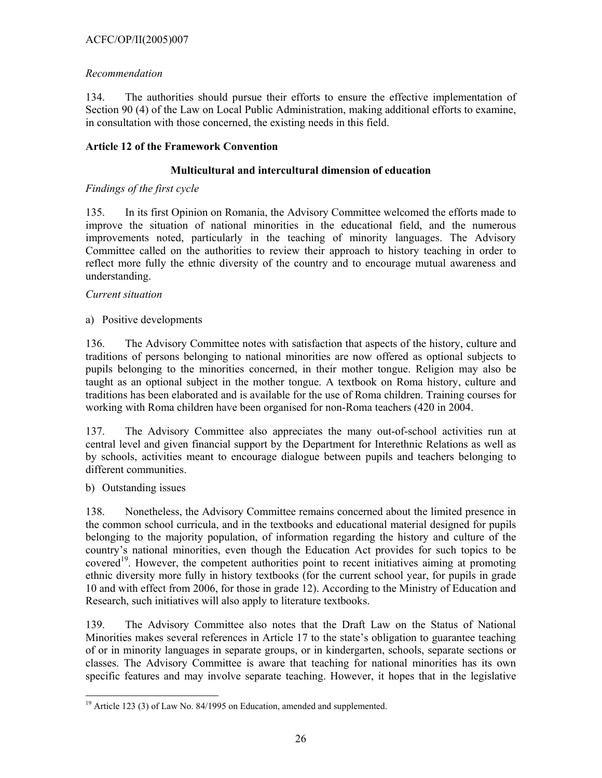# ACFC/OP/II(2005)007

# *Recommendation*

134. The authorities should pursue their efforts to ensure the effective implementation of Section 90 (4) of the Law on Local Public Administration, making additional efforts to examine, in consultation with those concerned, the existing needs in this field.

# **Article 12 of the Framework Convention**

# **Multicultural and intercultural dimension of education**

# *Findings of the first cycle*

135. In its first Opinion on Romania, the Advisory Committee welcomed the efforts made to improve the situation of national minorities in the educational field, and the numerous improvements noted, particularly in the teaching of minority languages. The Advisory Committee called on the authorities to review their approach to history teaching in order to reflect more fully the ethnic diversity of the country and to encourage mutual awareness and understanding.

# *Current situation*

a) Positive developments

136. The Advisory Committee notes with satisfaction that aspects of the history, culture and traditions of persons belonging to national minorities are now offered as optional subjects to pupils belonging to the minorities concerned, in their mother tongue. Religion may also be taught as an optional subject in the mother tongue. A textbook on Roma history, culture and traditions has been elaborated and is available for the use of Roma children. Training courses for working with Roma children have been organised for non-Roma teachers (420 in 2004.

137. The Advisory Committee also appreciates the many out-of-school activities run at central level and given financial support by the Department for Interethnic Relations as well as by schools, activities meant to encourage dialogue between pupils and teachers belonging to different communities.

b) Outstanding issues

 $\overline{a}$ 

138. Nonetheless, the Advisory Committee remains concerned about the limited presence in the common school curricula, and in the textbooks and educational material designed for pupils belonging to the majority population, of information regarding the history and culture of the country's national minorities, even though the Education Act provides for such topics to be covered<sup>19</sup>. However, the competent authorities point to recent initiatives aiming at promoting ethnic diversity more fully in history textbooks (for the current school year, for pupils in grade 10 and with effect from 2006, for those in grade 12). According to the Ministry of Education and Research, such initiatives will also apply to literature textbooks.

139. The Advisory Committee also notes that the Draft Law on the Status of National Minorities makes several references in Article 17 to the state's obligation to guarantee teaching of or in minority languages in separate groups, or in kindergarten, schools, separate sections or classes. The Advisory Committee is aware that teaching for national minorities has its own specific features and may involve separate teaching. However, it hopes that in the legislative

 $19$  Article 123 (3) of Law No. 84/1995 on Education, amended and supplemented.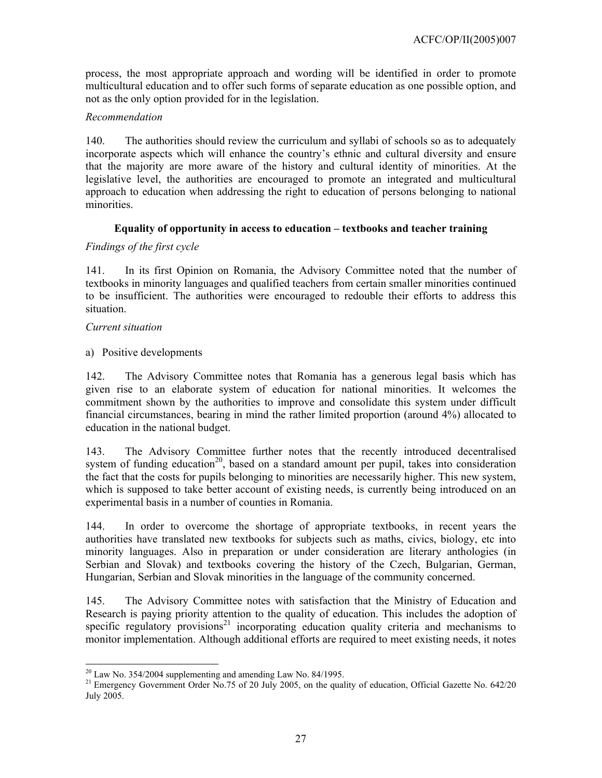process, the most appropriate approach and wording will be identified in order to promote multicultural education and to offer such forms of separate education as one possible option, and not as the only option provided for in the legislation.

# *Recommendation*

140. The authorities should review the curriculum and syllabi of schools so as to adequately incorporate aspects which will enhance the country's ethnic and cultural diversity and ensure that the majority are more aware of the history and cultural identity of minorities. At the legislative level, the authorities are encouraged to promote an integrated and multicultural approach to education when addressing the right to education of persons belonging to national minorities.

# **Equality of opportunity in access to education – textbooks and teacher training**

# *Findings of the first cycle*

141. In its first Opinion on Romania, the Advisory Committee noted that the number of textbooks in minority languages and qualified teachers from certain smaller minorities continued to be insufficient. The authorities were encouraged to redouble their efforts to address this situation.

### *Current situation*

a) Positive developments

142. The Advisory Committee notes that Romania has a generous legal basis which has given rise to an elaborate system of education for national minorities. It welcomes the commitment shown by the authorities to improve and consolidate this system under difficult financial circumstances, bearing in mind the rather limited proportion (around 4%) allocated to education in the national budget.

143. The Advisory Committee further notes that the recently introduced decentralised system of funding education<sup>20</sup>, based on a standard amount per pupil, takes into consideration the fact that the costs for pupils belonging to minorities are necessarily higher. This new system, which is supposed to take better account of existing needs, is currently being introduced on an experimental basis in a number of counties in Romania.

144. In order to overcome the shortage of appropriate textbooks, in recent years the authorities have translated new textbooks for subjects such as maths, civics, biology, etc into minority languages. Also in preparation or under consideration are literary anthologies (in Serbian and Slovak) and textbooks covering the history of the Czech, Bulgarian, German, Hungarian, Serbian and Slovak minorities in the language of the community concerned.

145. The Advisory Committee notes with satisfaction that the Ministry of Education and Research is paying priority attention to the quality of education. This includes the adoption of specific regulatory provisions<sup>21</sup> incorporating education quality criteria and mechanisms to monitor implementation. Although additional efforts are required to meet existing needs, it notes

l  $^{20}$  Law No. 354/2004 supplementing and amending Law No. 84/1995.

<sup>&</sup>lt;sup>21</sup> Emergency Government Order No.75 of 20 July 2005, on the quality of education, Official Gazette No. 642/20 July 2005.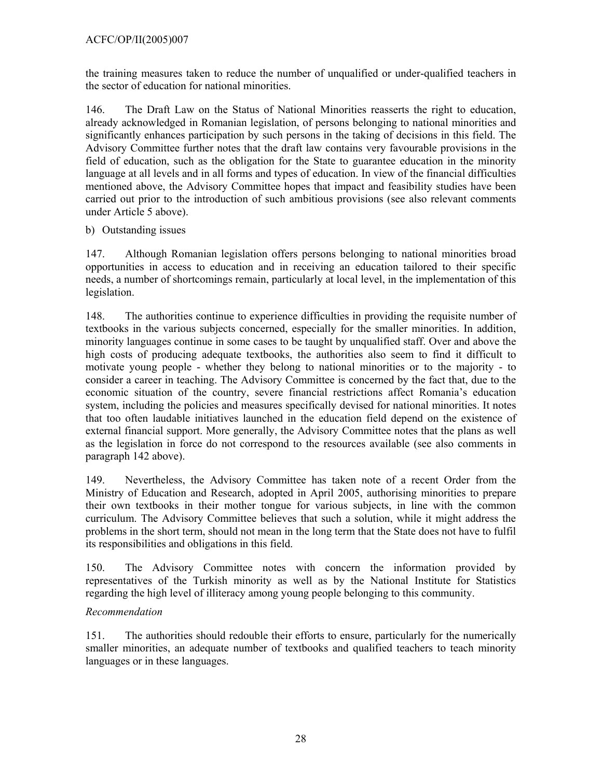the training measures taken to reduce the number of unqualified or under-qualified teachers in the sector of education for national minorities.

146. The Draft Law on the Status of National Minorities reasserts the right to education, already acknowledged in Romanian legislation, of persons belonging to national minorities and significantly enhances participation by such persons in the taking of decisions in this field. The Advisory Committee further notes that the draft law contains very favourable provisions in the field of education, such as the obligation for the State to guarantee education in the minority language at all levels and in all forms and types of education. In view of the financial difficulties mentioned above, the Advisory Committee hopes that impact and feasibility studies have been carried out prior to the introduction of such ambitious provisions (see also relevant comments under Article 5 above).

# b) Outstanding issues

147. Although Romanian legislation offers persons belonging to national minorities broad opportunities in access to education and in receiving an education tailored to their specific needs, a number of shortcomings remain, particularly at local level, in the implementation of this legislation.

148. The authorities continue to experience difficulties in providing the requisite number of textbooks in the various subjects concerned, especially for the smaller minorities. In addition, minority languages continue in some cases to be taught by unqualified staff. Over and above the high costs of producing adequate textbooks, the authorities also seem to find it difficult to motivate young people - whether they belong to national minorities or to the majority - to consider a career in teaching. The Advisory Committee is concerned by the fact that, due to the economic situation of the country, severe financial restrictions affect Romania's education system, including the policies and measures specifically devised for national minorities. It notes that too often laudable initiatives launched in the education field depend on the existence of external financial support. More generally, the Advisory Committee notes that the plans as well as the legislation in force do not correspond to the resources available (see also comments in paragraph 142 above).

149. Nevertheless, the Advisory Committee has taken note of a recent Order from the Ministry of Education and Research, adopted in April 2005, authorising minorities to prepare their own textbooks in their mother tongue for various subjects, in line with the common curriculum. The Advisory Committee believes that such a solution, while it might address the problems in the short term, should not mean in the long term that the State does not have to fulfil its responsibilities and obligations in this field.

150. The Advisory Committee notes with concern the information provided by representatives of the Turkish minority as well as by the National Institute for Statistics regarding the high level of illiteracy among young people belonging to this community.

# *Recommendation*

151. The authorities should redouble their efforts to ensure, particularly for the numerically smaller minorities, an adequate number of textbooks and qualified teachers to teach minority languages or in these languages.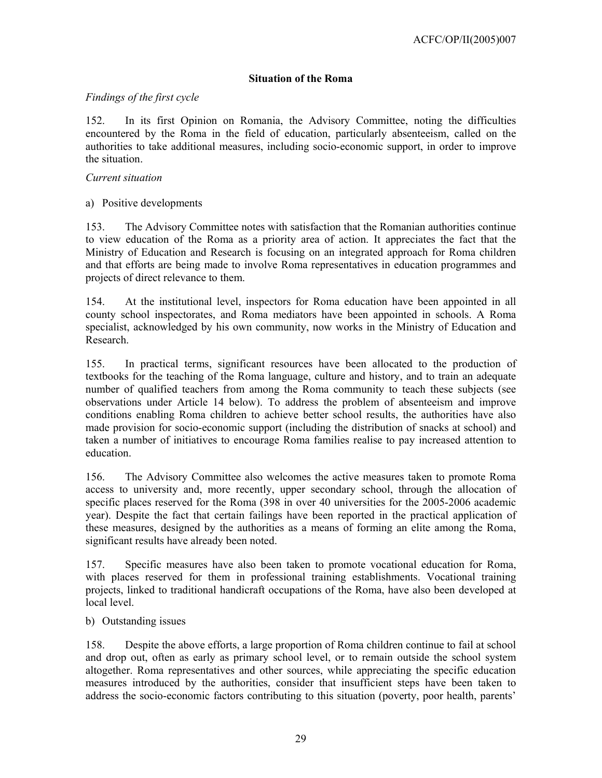# **Situation of the Roma**

### *Findings of the first cycle*

152. In its first Opinion on Romania, the Advisory Committee, noting the difficulties encountered by the Roma in the field of education, particularly absenteeism, called on the authorities to take additional measures, including socio-economic support, in order to improve the situation.

#### *Current situation*

a) Positive developments

153. The Advisory Committee notes with satisfaction that the Romanian authorities continue to view education of the Roma as a priority area of action. It appreciates the fact that the Ministry of Education and Research is focusing on an integrated approach for Roma children and that efforts are being made to involve Roma representatives in education programmes and projects of direct relevance to them.

154. At the institutional level, inspectors for Roma education have been appointed in all county school inspectorates, and Roma mediators have been appointed in schools. A Roma specialist, acknowledged by his own community, now works in the Ministry of Education and Research.

155. In practical terms, significant resources have been allocated to the production of textbooks for the teaching of the Roma language, culture and history, and to train an adequate number of qualified teachers from among the Roma community to teach these subjects (see observations under Article 14 below). To address the problem of absenteeism and improve conditions enabling Roma children to achieve better school results, the authorities have also made provision for socio-economic support (including the distribution of snacks at school) and taken a number of initiatives to encourage Roma families realise to pay increased attention to education.

156. The Advisory Committee also welcomes the active measures taken to promote Roma access to university and, more recently, upper secondary school, through the allocation of specific places reserved for the Roma (398 in over 40 universities for the 2005-2006 academic year). Despite the fact that certain failings have been reported in the practical application of these measures, designed by the authorities as a means of forming an elite among the Roma, significant results have already been noted.

157. Specific measures have also been taken to promote vocational education for Roma, with places reserved for them in professional training establishments. Vocational training projects, linked to traditional handicraft occupations of the Roma, have also been developed at local level.

b) Outstanding issues

158. Despite the above efforts, a large proportion of Roma children continue to fail at school and drop out, often as early as primary school level, or to remain outside the school system altogether. Roma representatives and other sources, while appreciating the specific education measures introduced by the authorities, consider that insufficient steps have been taken to address the socio-economic factors contributing to this situation (poverty, poor health, parents'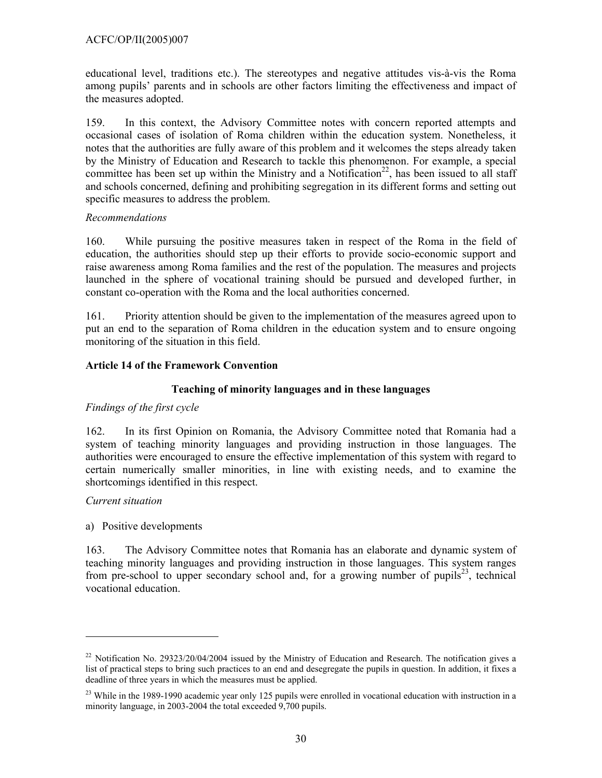educational level, traditions etc.). The stereotypes and negative attitudes vis-à-vis the Roma among pupils' parents and in schools are other factors limiting the effectiveness and impact of the measures adopted.

159. In this context, the Advisory Committee notes with concern reported attempts and occasional cases of isolation of Roma children within the education system. Nonetheless, it notes that the authorities are fully aware of this problem and it welcomes the steps already taken by the Ministry of Education and Research to tackle this phenomenon. For example, a special committee has been set up within the Ministry and a Notification<sup>22</sup>, has been issued to all staff and schools concerned, defining and prohibiting segregation in its different forms and setting out specific measures to address the problem.

# *Recommendations*

160. While pursuing the positive measures taken in respect of the Roma in the field of education, the authorities should step up their efforts to provide socio-economic support and raise awareness among Roma families and the rest of the population. The measures and projects launched in the sphere of vocational training should be pursued and developed further, in constant co-operation with the Roma and the local authorities concerned.

161. Priority attention should be given to the implementation of the measures agreed upon to put an end to the separation of Roma children in the education system and to ensure ongoing monitoring of the situation in this field.

# **Article 14 of the Framework Convention**

# **Teaching of minority languages and in these languages**

# *Findings of the first cycle*

162. In its first Opinion on Romania, the Advisory Committee noted that Romania had a system of teaching minority languages and providing instruction in those languages. The authorities were encouraged to ensure the effective implementation of this system with regard to certain numerically smaller minorities, in line with existing needs, and to examine the shortcomings identified in this respect.

# *Current situation*

l

a) Positive developments

163. The Advisory Committee notes that Romania has an elaborate and dynamic system of teaching minority languages and providing instruction in those languages. This system ranges from pre-school to upper secondary school and, for a growing number of pupils<sup>23</sup>, technical vocational education.

<sup>&</sup>lt;sup>22</sup> Notification No. 29323/20/04/2004 issued by the Ministry of Education and Research. The notification gives a list of practical steps to bring such practices to an end and desegregate the pupils in question. In addition, it fixes a deadline of three years in which the measures must be applied.

 $23$  While in the 1989-1990 academic year only 125 pupils were enrolled in vocational education with instruction in a minority language, in 2003-2004 the total exceeded 9,700 pupils.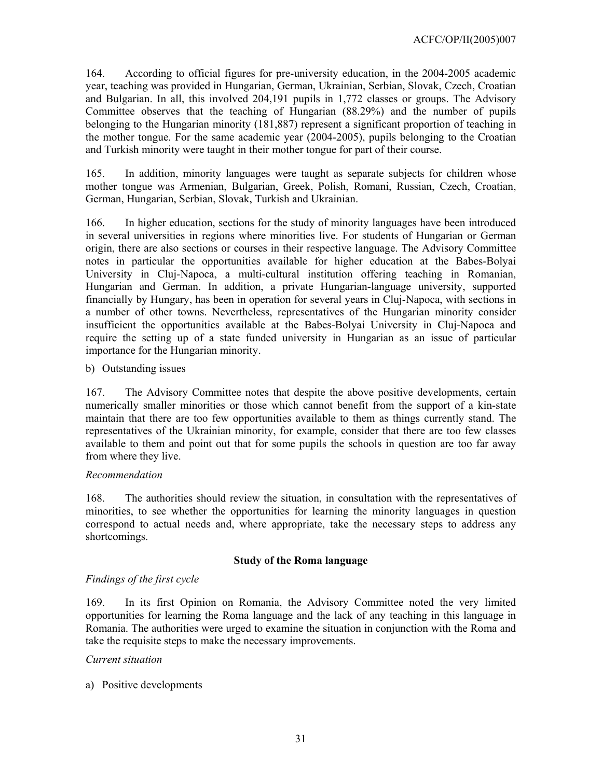164. According to official figures for pre-university education, in the 2004-2005 academic year, teaching was provided in Hungarian, German, Ukrainian, Serbian, Slovak, Czech, Croatian and Bulgarian. In all, this involved 204,191 pupils in 1,772 classes or groups. The Advisory Committee observes that the teaching of Hungarian (88.29%) and the number of pupils belonging to the Hungarian minority (181,887) represent a significant proportion of teaching in the mother tongue. For the same academic year (2004-2005), pupils belonging to the Croatian and Turkish minority were taught in their mother tongue for part of their course.

165. In addition, minority languages were taught as separate subjects for children whose mother tongue was Armenian, Bulgarian, Greek, Polish, Romani, Russian, Czech, Croatian, German, Hungarian, Serbian, Slovak, Turkish and Ukrainian.

166. In higher education, sections for the study of minority languages have been introduced in several universities in regions where minorities live. For students of Hungarian or German origin, there are also sections or courses in their respective language. The Advisory Committee notes in particular the opportunities available for higher education at the Babes-Bolyai University in Cluj-Napoca, a multi-cultural institution offering teaching in Romanian, Hungarian and German. In addition, a private Hungarian-language university, supported financially by Hungary, has been in operation for several years in Cluj-Napoca, with sections in a number of other towns. Nevertheless, representatives of the Hungarian minority consider insufficient the opportunities available at the Babes-Bolyai University in Cluj-Napoca and require the setting up of a state funded university in Hungarian as an issue of particular importance for the Hungarian minority.

### b) Outstanding issues

167. The Advisory Committee notes that despite the above positive developments, certain numerically smaller minorities or those which cannot benefit from the support of a kin-state maintain that there are too few opportunities available to them as things currently stand. The representatives of the Ukrainian minority, for example, consider that there are too few classes available to them and point out that for some pupils the schools in question are too far away from where they live.

#### *Recommendation*

168. The authorities should review the situation, in consultation with the representatives of minorities, to see whether the opportunities for learning the minority languages in question correspond to actual needs and, where appropriate, take the necessary steps to address any shortcomings.

# **Study of the Roma language**

# *Findings of the first cycle*

169. In its first Opinion on Romania, the Advisory Committee noted the very limited opportunities for learning the Roma language and the lack of any teaching in this language in Romania. The authorities were urged to examine the situation in conjunction with the Roma and take the requisite steps to make the necessary improvements.

# *Current situation*

a) Positive developments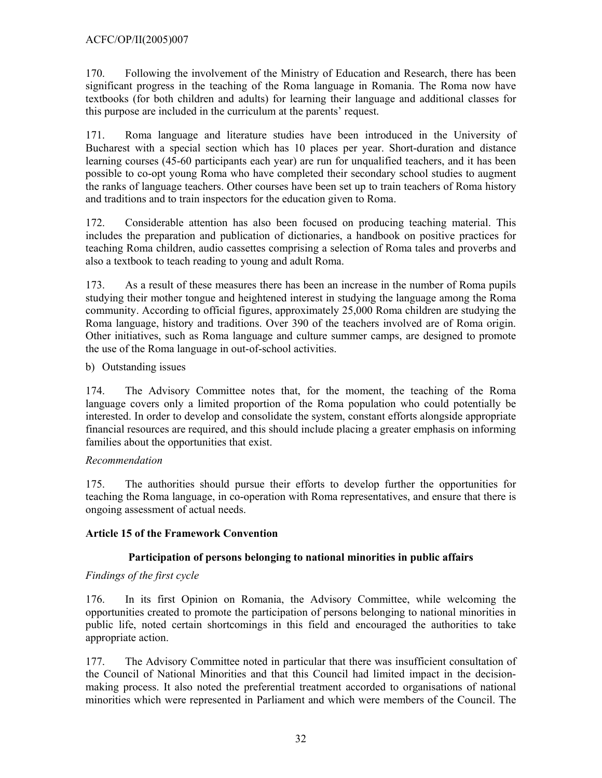# ACFC/OP/II(2005)007

170. Following the involvement of the Ministry of Education and Research, there has been significant progress in the teaching of the Roma language in Romania. The Roma now have textbooks (for both children and adults) for learning their language and additional classes for this purpose are included in the curriculum at the parents' request.

171. Roma language and literature studies have been introduced in the University of Bucharest with a special section which has 10 places per year. Short-duration and distance learning courses (45-60 participants each year) are run for unqualified teachers, and it has been possible to co-opt young Roma who have completed their secondary school studies to augment the ranks of language teachers. Other courses have been set up to train teachers of Roma history and traditions and to train inspectors for the education given to Roma.

172. Considerable attention has also been focused on producing teaching material. This includes the preparation and publication of dictionaries, a handbook on positive practices for teaching Roma children, audio cassettes comprising a selection of Roma tales and proverbs and also a textbook to teach reading to young and adult Roma.

173. As a result of these measures there has been an increase in the number of Roma pupils studying their mother tongue and heightened interest in studying the language among the Roma community. According to official figures, approximately 25,000 Roma children are studying the Roma language, history and traditions. Over 390 of the teachers involved are of Roma origin. Other initiatives, such as Roma language and culture summer camps, are designed to promote the use of the Roma language in out-of-school activities.

# b) Outstanding issues

174. The Advisory Committee notes that, for the moment, the teaching of the Roma language covers only a limited proportion of the Roma population who could potentially be interested. In order to develop and consolidate the system, constant efforts alongside appropriate financial resources are required, and this should include placing a greater emphasis on informing families about the opportunities that exist.

# *Recommendation*

175. The authorities should pursue their efforts to develop further the opportunities for teaching the Roma language, in co-operation with Roma representatives, and ensure that there is ongoing assessment of actual needs.

# **Article 15 of the Framework Convention**

# **Participation of persons belonging to national minorities in public affairs**

# *Findings of the first cycle*

176. In its first Opinion on Romania, the Advisory Committee, while welcoming the opportunities created to promote the participation of persons belonging to national minorities in public life, noted certain shortcomings in this field and encouraged the authorities to take appropriate action.

177. The Advisory Committee noted in particular that there was insufficient consultation of the Council of National Minorities and that this Council had limited impact in the decisionmaking process. It also noted the preferential treatment accorded to organisations of national minorities which were represented in Parliament and which were members of the Council. The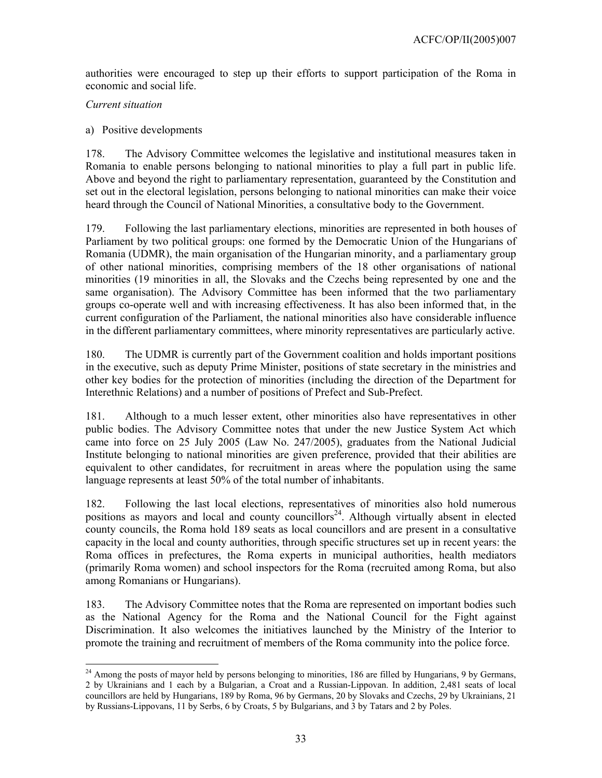authorities were encouraged to step up their efforts to support participation of the Roma in economic and social life.

### *Current situation*

l

### a) Positive developments

178. The Advisory Committee welcomes the legislative and institutional measures taken in Romania to enable persons belonging to national minorities to play a full part in public life. Above and beyond the right to parliamentary representation, guaranteed by the Constitution and set out in the electoral legislation, persons belonging to national minorities can make their voice heard through the Council of National Minorities, a consultative body to the Government.

179. Following the last parliamentary elections, minorities are represented in both houses of Parliament by two political groups: one formed by the Democratic Union of the Hungarians of Romania (UDMR), the main organisation of the Hungarian minority, and a parliamentary group of other national minorities, comprising members of the 18 other organisations of national minorities (19 minorities in all, the Slovaks and the Czechs being represented by one and the same organisation). The Advisory Committee has been informed that the two parliamentary groups co-operate well and with increasing effectiveness. It has also been informed that, in the current configuration of the Parliament, the national minorities also have considerable influence in the different parliamentary committees, where minority representatives are particularly active.

180. The UDMR is currently part of the Government coalition and holds important positions in the executive, such as deputy Prime Minister, positions of state secretary in the ministries and other key bodies for the protection of minorities (including the direction of the Department for Interethnic Relations) and a number of positions of Prefect and Sub-Prefect.

181. Although to a much lesser extent, other minorities also have representatives in other public bodies. The Advisory Committee notes that under the new Justice System Act which came into force on 25 July 2005 (Law No. 247/2005), graduates from the National Judicial Institute belonging to national minorities are given preference, provided that their abilities are equivalent to other candidates, for recruitment in areas where the population using the same language represents at least 50% of the total number of inhabitants.

182. Following the last local elections, representatives of minorities also hold numerous positions as mayors and local and county councillors<sup>24</sup>. Although virtually absent in elected county councils, the Roma hold 189 seats as local councillors and are present in a consultative capacity in the local and county authorities, through specific structures set up in recent years: the Roma offices in prefectures, the Roma experts in municipal authorities, health mediators (primarily Roma women) and school inspectors for the Roma (recruited among Roma, but also among Romanians or Hungarians).

183. The Advisory Committee notes that the Roma are represented on important bodies such as the National Agency for the Roma and the National Council for the Fight against Discrimination. It also welcomes the initiatives launched by the Ministry of the Interior to promote the training and recruitment of members of the Roma community into the police force.

 $^{24}$  Among the posts of mayor held by persons belonging to minorities, 186 are filled by Hungarians, 9 by Germans, 2 by Ukrainians and 1 each by a Bulgarian, a Croat and a Russian-Lippovan. In addition, 2,481 seats of local councillors are held by Hungarians, 189 by Roma, 96 by Germans, 20 by Slovaks and Czechs, 29 by Ukrainians, 21 by Russians-Lippovans, 11 by Serbs, 6 by Croats, 5 by Bulgarians, and 3 by Tatars and 2 by Poles.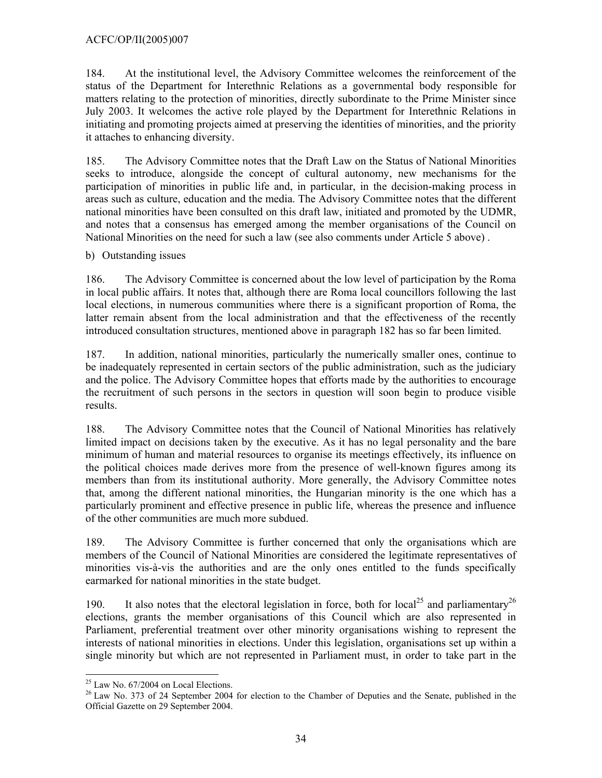# ACFC/OP/II(2005)007

184. At the institutional level, the Advisory Committee welcomes the reinforcement of the status of the Department for Interethnic Relations as a governmental body responsible for matters relating to the protection of minorities, directly subordinate to the Prime Minister since July 2003. It welcomes the active role played by the Department for Interethnic Relations in initiating and promoting projects aimed at preserving the identities of minorities, and the priority it attaches to enhancing diversity.

185. The Advisory Committee notes that the Draft Law on the Status of National Minorities seeks to introduce, alongside the concept of cultural autonomy, new mechanisms for the participation of minorities in public life and, in particular, in the decision-making process in areas such as culture, education and the media. The Advisory Committee notes that the different national minorities have been consulted on this draft law, initiated and promoted by the UDMR, and notes that a consensus has emerged among the member organisations of the Council on National Minorities on the need for such a law (see also comments under Article 5 above) .

b) Outstanding issues

186. The Advisory Committee is concerned about the low level of participation by the Roma in local public affairs. It notes that, although there are Roma local councillors following the last local elections, in numerous communities where there is a significant proportion of Roma, the latter remain absent from the local administration and that the effectiveness of the recently introduced consultation structures, mentioned above in paragraph 182 has so far been limited.

187. In addition, national minorities, particularly the numerically smaller ones, continue to be inadequately represented in certain sectors of the public administration, such as the judiciary and the police. The Advisory Committee hopes that efforts made by the authorities to encourage the recruitment of such persons in the sectors in question will soon begin to produce visible results.

188. The Advisory Committee notes that the Council of National Minorities has relatively limited impact on decisions taken by the executive. As it has no legal personality and the bare minimum of human and material resources to organise its meetings effectively, its influence on the political choices made derives more from the presence of well-known figures among its members than from its institutional authority. More generally, the Advisory Committee notes that, among the different national minorities, the Hungarian minority is the one which has a particularly prominent and effective presence in public life, whereas the presence and influence of the other communities are much more subdued.

189. The Advisory Committee is further concerned that only the organisations which are members of the Council of National Minorities are considered the legitimate representatives of minorities vis-à-vis the authorities and are the only ones entitled to the funds specifically earmarked for national minorities in the state budget.

190. It also notes that the electoral legislation in force, both for local<sup>25</sup> and parliamentary<sup>26</sup> elections, grants the member organisations of this Council which are also represented in Parliament, preferential treatment over other minority organisations wishing to represent the interests of national minorities in elections. Under this legislation, organisations set up within a single minority but which are not represented in Parliament must, in order to take part in the

 $\overline{a}$ 

 $25$  Law No. 67/2004 on Local Elections.

<sup>&</sup>lt;sup>26</sup> Law No. 373 of 24 September 2004 for election to the Chamber of Deputies and the Senate, published in the Official Gazette on 29 September 2004.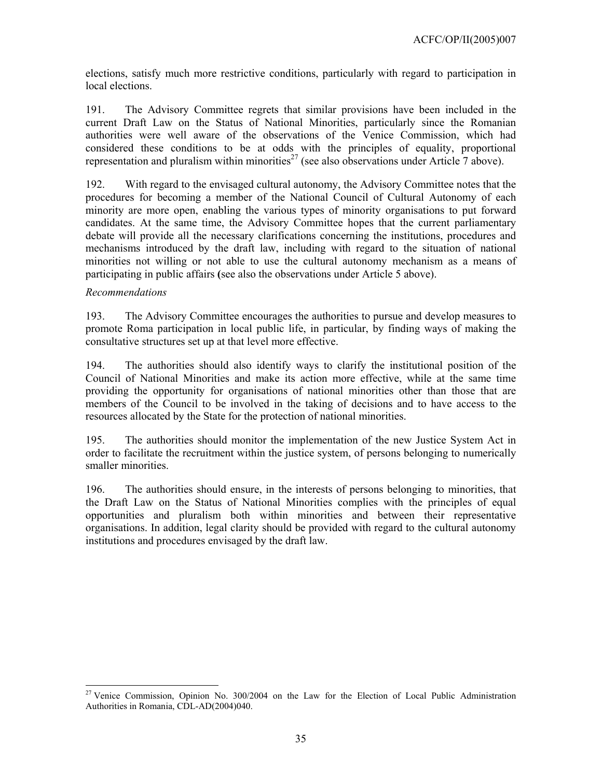elections, satisfy much more restrictive conditions, particularly with regard to participation in local elections.

191. The Advisory Committee regrets that similar provisions have been included in the current Draft Law on the Status of National Minorities, particularly since the Romanian authorities were well aware of the observations of the Venice Commission, which had considered these conditions to be at odds with the principles of equality, proportional representation and pluralism within minorities<sup>27</sup> (see also observations under Article  $\overline{7}$  above).

192. With regard to the envisaged cultural autonomy, the Advisory Committee notes that the procedures for becoming a member of the National Council of Cultural Autonomy of each minority are more open, enabling the various types of minority organisations to put forward candidates. At the same time, the Advisory Committee hopes that the current parliamentary debate will provide all the necessary clarifications concerning the institutions, procedures and mechanisms introduced by the draft law, including with regard to the situation of national minorities not willing or not able to use the cultural autonomy mechanism as a means of participating in public affairs **(**see also the observations under Article 5 above).

### *Recommendations*

 $\overline{a}$ 

193. The Advisory Committee encourages the authorities to pursue and develop measures to promote Roma participation in local public life, in particular, by finding ways of making the consultative structures set up at that level more effective.

194. The authorities should also identify ways to clarify the institutional position of the Council of National Minorities and make its action more effective, while at the same time providing the opportunity for organisations of national minorities other than those that are members of the Council to be involved in the taking of decisions and to have access to the resources allocated by the State for the protection of national minorities.

195. The authorities should monitor the implementation of the new Justice System Act in order to facilitate the recruitment within the justice system, of persons belonging to numerically smaller minorities.

196. The authorities should ensure, in the interests of persons belonging to minorities, that the Draft Law on the Status of National Minorities complies with the principles of equal opportunities and pluralism both within minorities and between their representative organisations. In addition, legal clarity should be provided with regard to the cultural autonomy institutions and procedures envisaged by the draft law.

<sup>&</sup>lt;sup>27</sup> Venice Commission, Opinion No. 300/2004 on the Law for the Election of Local Public Administration Authorities in Romania, CDL-AD(2004)040.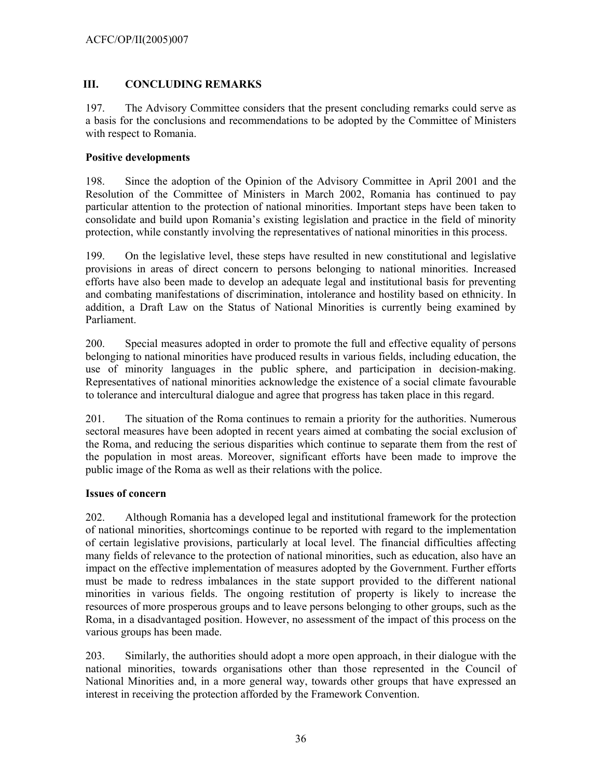# **III. CONCLUDING REMARKS**

197. The Advisory Committee considers that the present concluding remarks could serve as a basis for the conclusions and recommendations to be adopted by the Committee of Ministers with respect to Romania.

### **Positive developments**

198. Since the adoption of the Opinion of the Advisory Committee in April 2001 and the Resolution of the Committee of Ministers in March 2002, Romania has continued to pay particular attention to the protection of national minorities. Important steps have been taken to consolidate and build upon Romania's existing legislation and practice in the field of minority protection, while constantly involving the representatives of national minorities in this process.

199. On the legislative level, these steps have resulted in new constitutional and legislative provisions in areas of direct concern to persons belonging to national minorities. Increased efforts have also been made to develop an adequate legal and institutional basis for preventing and combating manifestations of discrimination, intolerance and hostility based on ethnicity. In addition, a Draft Law on the Status of National Minorities is currently being examined by Parliament.

200. Special measures adopted in order to promote the full and effective equality of persons belonging to national minorities have produced results in various fields, including education, the use of minority languages in the public sphere, and participation in decision-making. Representatives of national minorities acknowledge the existence of a social climate favourable to tolerance and intercultural dialogue and agree that progress has taken place in this regard.

201. The situation of the Roma continues to remain a priority for the authorities. Numerous sectoral measures have been adopted in recent years aimed at combating the social exclusion of the Roma, and reducing the serious disparities which continue to separate them from the rest of the population in most areas. Moreover, significant efforts have been made to improve the public image of the Roma as well as their relations with the police.

# **Issues of concern**

202. Although Romania has a developed legal and institutional framework for the protection of national minorities, shortcomings continue to be reported with regard to the implementation of certain legislative provisions, particularly at local level. The financial difficulties affecting many fields of relevance to the protection of national minorities, such as education, also have an impact on the effective implementation of measures adopted by the Government. Further efforts must be made to redress imbalances in the state support provided to the different national minorities in various fields. The ongoing restitution of property is likely to increase the resources of more prosperous groups and to leave persons belonging to other groups, such as the Roma, in a disadvantaged position. However, no assessment of the impact of this process on the various groups has been made.

203. Similarly, the authorities should adopt a more open approach, in their dialogue with the national minorities, towards organisations other than those represented in the Council of National Minorities and, in a more general way, towards other groups that have expressed an interest in receiving the protection afforded by the Framework Convention.